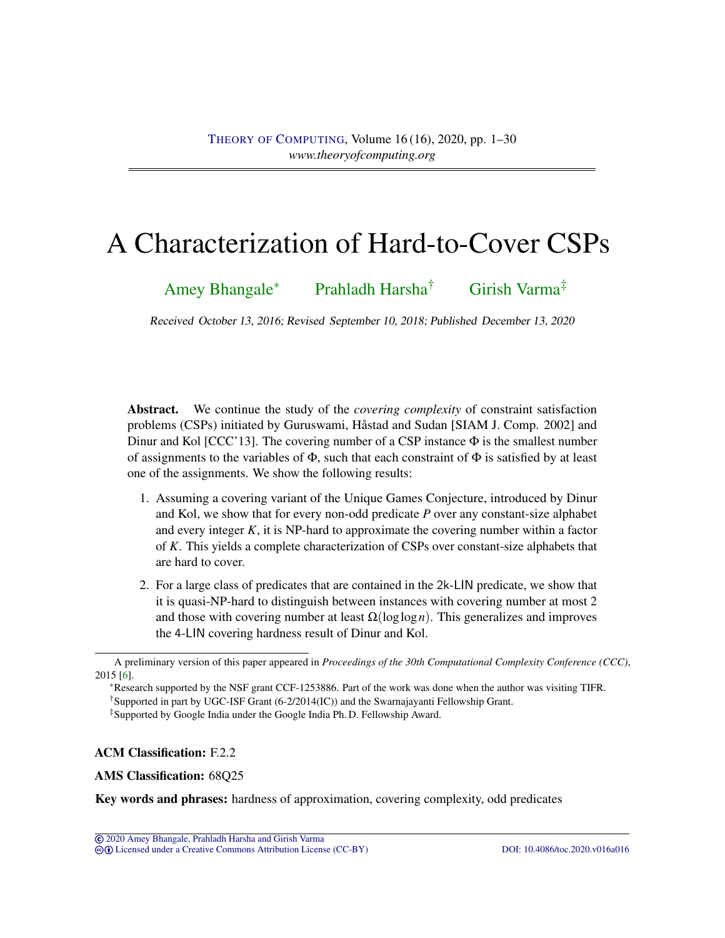# <span id="page-0-1"></span><span id="page-0-0"></span>A Characterization of Hard-to-Cover CSPs

[Amey Bhangale](#page-27-0)<sup>∗</sup> [Prahladh Harsha](#page-28-0)† [Girish Varma](#page-28-1)‡

Received October 13, 2016; Revised September 10, 2018; Published December 13, 2020

Abstract. We continue the study of the *covering complexity* of constraint satisfaction problems (CSPs) initiated by Guruswami, Håstad and Sudan [SIAM J. Comp. 2002] and Dinur and Kol [CCC'13]. The covering number of a CSP instance  $\Phi$  is the smallest number of assignments to the variables of  $\Phi$ , such that each constraint of  $\Phi$  is satisfied by at least one of the assignments. We show the following results:

- 1. Assuming a covering variant of the Unique Games Conjecture, introduced by Dinur and Kol, we show that for every non-odd predicate *P* over any constant-size alphabet and every integer *K*, it is NP-hard to approximate the covering number within a factor of *K*. This yields a complete characterization of CSPs over constant-size alphabets that are hard to cover.
- 2. For a large class of predicates that are contained in the 2k-LIN predicate, we show that it is quasi-NP-hard to distinguish between instances with covering number at most 2 and those with covering number at least  $\Omega(\log \log n)$ . This generalizes and improves the 4-LIN covering hardness result of Dinur and Kol.

<sup>∗</sup>Research supported by the NSF grant CCF-1253886. Part of the work was done when the author was visiting TIFR. †Supported in part by UGC-ISF Grant (6-2/2014(IC)) and the Swarnajayanti Fellowship Grant.

‡Supported by Google India under the Google India Ph. D. Fellowship Award.

### ACM Classification: F.2.2

### AMS Classification: 68Q25

Key words and phrases: hardness of approximation, covering complexity, odd predicates

A preliminary version of this paper appeared in *Proceedings of the 30th Computational Complexity Conference (CCC)*, 2015 [\[6\]](#page-26-0).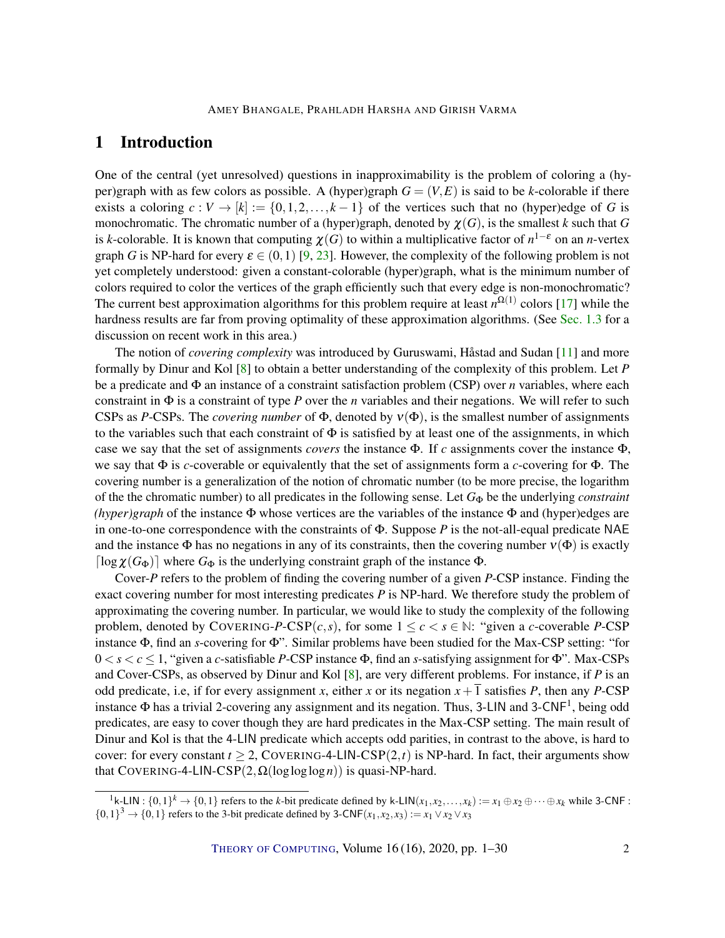# <span id="page-1-0"></span>1 Introduction

One of the central (yet unresolved) questions in inapproximability is the problem of coloring a (hyper)graph with as few colors as possible. A (hyper)graph  $G = (V, E)$  is said to be *k*-colorable if there exists a coloring  $c : V \to [k] := \{0, 1, 2, \ldots, k-1\}$  of the vertices such that no (hyper)edge of *G* is monochromatic. The chromatic number of a (hyper)graph, denoted by  $\chi(G)$ , is the smallest *k* such that *G* is *k*-colorable. It is known that computing  $\chi(G)$  to within a multiplicative factor of  $n^{1-\varepsilon}$  on an *n*-vertex graph *G* is NP-hard for every  $\varepsilon \in (0,1)$  [\[9,](#page-26-1) [23\]](#page-27-1). However, the complexity of the following problem is not yet completely understood: given a constant-colorable (hyper)graph, what is the minimum number of colors required to color the vertices of the graph efficiently such that every edge is non-monochromatic? The current best approximation algorithms for this problem require at least  $n^{\Omega(1)}$  colors [\[17\]](#page-27-2) while the hardness results are far from proving optimality of these approximation algorithms. (See [Sec.](#page-6-0) [1.3](#page-6-0) for a discussion on recent work in this area.)

The notion of *covering complexity* was introduced by Guruswami, Håstad and Sudan [\[11\]](#page-26-2) and more formally by Dinur and Kol [\[8\]](#page-26-3) to obtain a better understanding of the complexity of this problem. Let *P* be a predicate and Φ an instance of a constraint satisfaction problem (CSP) over *n* variables, where each constraint in Φ is a constraint of type *P* over the *n* variables and their negations. We will refer to such CSPs as *P*-CSPs. The *covering number* of  $\Phi$ , denoted by  $v(\Phi)$ , is the smallest number of assignments to the variables such that each constraint of  $\Phi$  is satisfied by at least one of the assignments, in which case we say that the set of assignments *covers* the instance Φ. If *c* assignments cover the instance Φ, we say that Φ is *c*-coverable or equivalently that the set of assignments form a *c*-covering for Φ. The covering number is a generalization of the notion of chromatic number (to be more precise, the logarithm of the the chromatic number) to all predicates in the following sense. Let *G*<sup>Φ</sup> be the underlying *constraint (hyper)graph* of the instance Φ whose vertices are the variables of the instance Φ and (hyper)edges are in one-to-one correspondence with the constraints of Φ. Suppose *P* is the not-all-equal predicate NAE and the instance  $\Phi$  has no negations in any of its constraints, then the covering number  $v(\Phi)$  is exactly  $\lceil \log \chi(G_{\Phi}) \rceil$  where  $G_{\Phi}$  is the underlying constraint graph of the instance  $\Phi$ .

Cover-*P* refers to the problem of finding the covering number of a given *P*-CSP instance. Finding the exact covering number for most interesting predicates *P* is NP-hard. We therefore study the problem of approximating the covering number. In particular, we would like to study the complexity of the following problem, denoted by COVERING-P-CSP(*c*,*s*), for some  $1 \leq c \leq s \in \mathbb{N}$ : "given a *c*-coverable P-CSP instance Φ, find an *s*-covering for Φ". Similar problems have been studied for the Max-CSP setting: "for 0 < *s* < *c* ≤ 1, "given a *c*-satisfiable *P*-CSP instance Φ, find an *s*-satisfying assignment for Φ". Max-CSPs and Cover-CSPs, as observed by Dinur and Kol [\[8\]](#page-26-3), are very different problems. For instance, if *P* is an odd predicate, i.e, if for every assignment *x*, either *x* or its negation  $x + \overline{1}$  satisfies *P*, then any *P*-CSP instance  $\Phi$  has a trivial 2-covering any assignment and its negation. Thus, 3-LIN and 3-CNF<sup>1</sup>, being odd predicates, are easy to cover though they are hard predicates in the Max-CSP setting. The main result of Dinur and Kol is that the 4-LIN predicate which accepts odd parities, in contrast to the above, is hard to cover: for every constant  $t \geq 2$ , COVERING-4-LIN-CSP(2,*t*) is NP-hard. In fact, their arguments show that COVERING-4-LIN-CSP(2,Ω(logloglog*n*)) is quasi-NP-hard.

<sup>&</sup>lt;sup>1</sup>k-LIN : {0,1}<sup>*k*</sup> → {0,1} refers to the *k*-bit predicate defined by k-LIN( $x_1, x_2, ..., x_k$ ) :=  $x_1 \oplus x_2 \oplus \cdots \oplus x_k$  while 3-CNF :  $\{0,1\}^3 \rightarrow \{0,1\}$  refers to the 3-bit predicate defined by 3-CNF( $x_1, x_2, x_3$ ) :=  $x_1 \vee x_2 \vee x_3$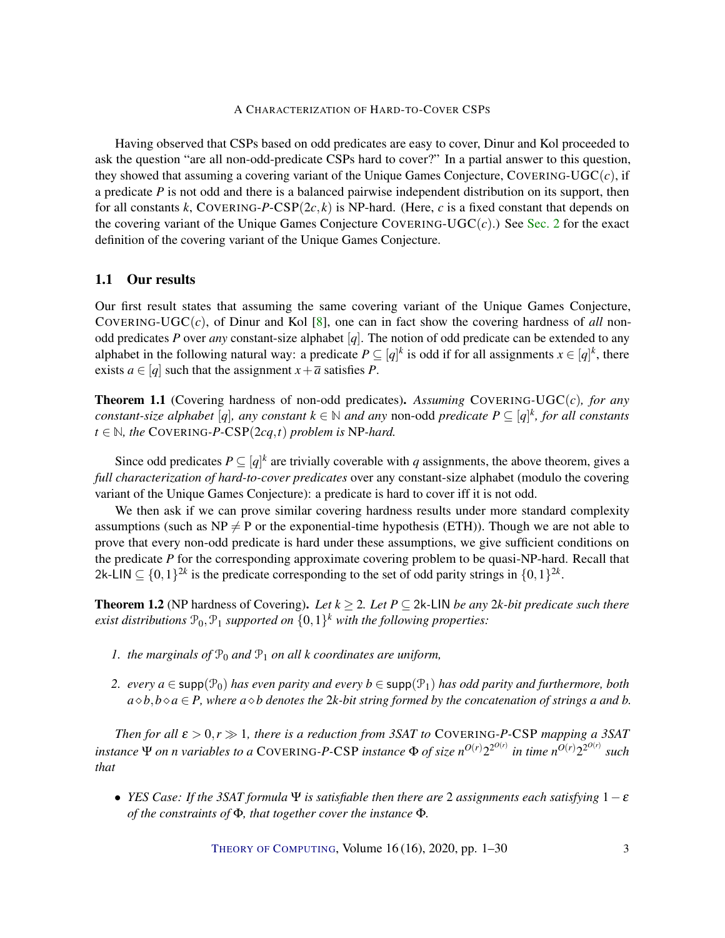<span id="page-2-2"></span>Having observed that CSPs based on odd predicates are easy to cover, Dinur and Kol proceeded to ask the question "are all non-odd-predicate CSPs hard to cover?" In a partial answer to this question, they showed that assuming a covering variant of the Unique Games Conjecture, COVERING-UGC(*c*), if a predicate *P* is not odd and there is a balanced pairwise independent distribution on its support, then for all constants *k*, COVERING-*P*-CSP(2*c*, *k*) is NP-hard. (Here, *c* is a fixed constant that depends on the covering variant of the Unique Games Conjecture COVERING-UGC $(c)$ .) See [Sec.](#page-6-1) [2](#page-6-1) for the exact definition of the covering variant of the Unique Games Conjecture.

## 1.1 Our results

Our first result states that assuming the same covering variant of the Unique Games Conjecture, COVERING-UGC $(c)$ , of Dinur and Kol [\[8\]](#page-26-3), one can in fact show the covering hardness of *all* nonodd predicates *P* over *any* constant-size alphabet [*q*]. The notion of odd predicate can be extended to any alphabet in the following natural way: a predicate  $P \subseteq [q]^k$  is odd if for all assignments  $x \in [q]^k$ , there exists  $a \in [q]$  such that the assignment  $x + \overline{a}$  satisfies *P*.

<span id="page-2-0"></span>Theorem 1.1 (Covering hardness of non-odd predicates). *Assuming* COVERING*-*UGC(*c*)*, for any constant-size alphabet* [*q*], any constant  $k \in \mathbb{N}$  and any non-odd predicate  $P \subseteq [q]^k$ , for all constants *t* ∈  $\mathbb N$ *, the* COVERING-*P*-CSP(2*cq*,*t*) *problem is* NP-*hard.* 

Since odd predicates  $P \subseteq [q]^k$  are trivially coverable with *q* assignments, the above theorem, gives a *full characterization of hard-to-cover predicates* over any constant-size alphabet (modulo the covering variant of the Unique Games Conjecture): a predicate is hard to cover iff it is not odd.

We then ask if we can prove similar covering hardness results under more standard complexity assumptions (such as  $NP \neq P$  or the exponential-time hypothesis (ETH)). Though we are not able to prove that every non-odd predicate is hard under these assumptions, we give sufficient conditions on the predicate *P* for the corresponding approximate covering problem to be quasi-NP-hard. Recall that 2k-LIN  $\subseteq \{0,1\}^{2k}$  is the predicate corresponding to the set of odd parity strings in  $\{0,1\}^{2k}$ .

<span id="page-2-1"></span>**Theorem 1.2** (NP hardness of Covering). Let  $k \ge 2$ . Let  $P \subseteq 2k$ -LIN *be any* 2*k*-bit predicate such there  $e$ xist distributions  $\mathcal{P}_0$ ,  $\mathcal{P}_1$  supported on  $\{0,1\}^k$  with the following properties:

- *1. the marginals of*  $\mathcal{P}_0$  *and*  $\mathcal{P}_1$  *on all k coordinates are uniform,*
- *2. every*  $a \in \text{supp}(\mathcal{P}_0)$  *has even parity and every*  $b \in \text{supp}(\mathcal{P}_1)$  *has odd parity and furthermore, both*  $a \diamond b$ , $b \diamond a \in P$ , where  $a \diamond b$  *denotes the 2k-bit string formed by the concatenation of strings a and b.*

*Then for all*  $\varepsilon > 0$ ,  $r \gg 1$ , there is a reduction from 3SAT to COVERING-P-CSP mapping a 3SAT instance  $\Psi$  on n variables to a COVERING-P-CSP instance  $\Phi$  of size n<sup>O(r)</sup>2<sup>2O(r)</sup> in time n<sup>O(r)</sup>2<sup>2O(r)</sup> such *that*

• *YES Case: If the 3SAT formula* Ψ *is satisfiable then there are* 2 *assignments each satisfying* 1−ε *of the constraints of* Φ*, that together cover the instance* Φ*.*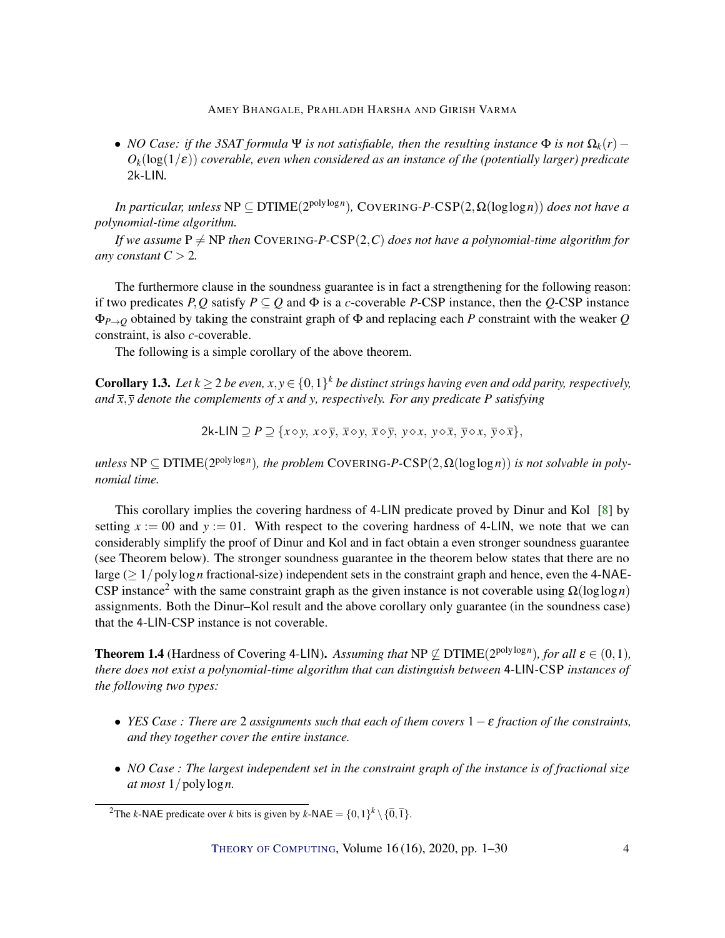<span id="page-3-1"></span>• *NO Case: if the 3SAT formula* Ψ *is not satisfiable, then the resulting instance*  $\Phi$  *is not*  $\Omega_k(r)$  –  $O_k(\log(1/\epsilon))$  *coverable, even when considered as an instance of the (potentially larger) predicate* 2k*-*LIN*.*

*In particular, unless* NP ⊆ DTIME(2 polylog*n* )*,* COVERING*-P-*CSP(2,Ω(loglog*n*)) *does not have a polynomial-time algorithm.*

*If we assume*  $P \neq NP$  *then* COVERING-P-CSP(2,*C) does not have a polynomial-time algorithm for any constant*  $C > 2$ *.* 

The furthermore clause in the soundness guarantee is in fact a strengthening for the following reason: if two predicates *P*,*Q* satisfy  $P \subseteq Q$  and  $\Phi$  is a *c*-coverable *P*-CSP instance, then the *Q*-CSP instance Φ*P*→*<sup>Q</sup>* obtained by taking the constraint graph of Φ and replacing each *P* constraint with the weaker *Q* constraint, is also *c*-coverable.

The following is a simple corollary of the above theorem.

**Corollary 1.3.** Let  $k \ge 2$  be even,  $x, y \in \{0, 1\}^k$  be distinct strings having even and odd parity, respectively, *and*  $\bar{x}$ ,  $\bar{y}$  denote the complements of x and y, respectively. For any predicate P satisfying

$$
2k-LIN \supseteq P \supseteq \{x \diamond y, x \diamond \overline{y}, \overline{x} \diamond y, \overline{x} \diamond \overline{y}, y \diamond x, y \diamond \overline{x}, \overline{y} \diamond x, \overline{y} \diamond \overline{x}\},\
$$

 $\nu$ *unless*  $NP \subseteq DTIME(2^{polylog n})$ , the problem COVERING-P-CSP $(2, \Omega(\log \log n))$  is not solvable in poly*nomial time.*

This corollary implies the covering hardness of 4-LIN predicate proved by Dinur and Kol [\[8\]](#page-26-3) by setting  $x := 00$  and  $y := 01$ . With respect to the covering hardness of 4-LIN, we note that we can considerably simplify the proof of Dinur and Kol and in fact obtain a even stronger soundness guarantee (see Theorem below). The stronger soundness guarantee in the theorem below states that there are no large ( $\geq 1$  /polylog *n* fractional-size) independent sets in the constraint graph and hence, even the 4-NAE-CSP instance<sup>2</sup> with the same constraint graph as the given instance is not coverable using  $\Omega(\log \log n)$ assignments. Both the Dinur–Kol result and the above corollary only guarantee (in the soundness case) that the 4-LIN-CSP instance is not coverable.

<span id="page-3-0"></span>**Theorem 1.4** (Hardness of Covering 4-LIN). Assuming that  $NP \not\subseteq DTIME(2^{poly\log n})$ , for all  $\varepsilon \in (0,1)$ , *there does not exist a polynomial-time algorithm that can distinguish between* 4*-*LIN*-*CSP *instances of the following two types:*

- *YES Case : There are* 2 *assignments such that each of them covers* 1−ε *fraction of the constraints, and they together cover the entire instance.*
- *NO Case : The largest independent set in the constraint graph of the instance is of fractional size at most* 1/polylog*n.*

<sup>&</sup>lt;sup>2</sup>The *k*-NAE predicate over *k* bits is given by *k*-NAE =  $\{0,1\}^k \setminus {\{\overline{0}, \overline{1}\}}$ .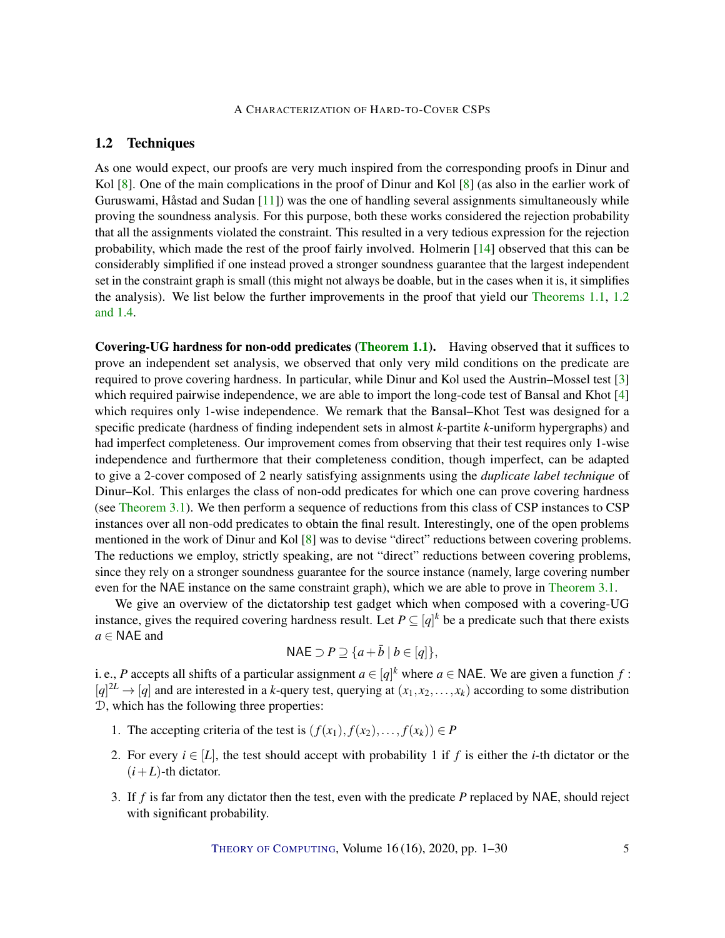# <span id="page-4-0"></span>1.2 Techniques

As one would expect, our proofs are very much inspired from the corresponding proofs in Dinur and Kol [\[8\]](#page-26-3). One of the main complications in the proof of Dinur and Kol [8] (as also in the earlier work of Guruswami, Håstad and Sudan  $[11]$ ) was the one of handling several assignments simultaneously while proving the soundness analysis. For this purpose, both these works considered the rejection probability that all the assignments violated the constraint. This resulted in a very tedious expression for the rejection probability, which made the rest of the proof fairly involved. Holmerin [\[14\]](#page-26-4) observed that this can be considerably simplified if one instead proved a stronger soundness guarantee that the largest independent set in the constraint graph is small (this might not always be doable, but in the cases when it is, it simplifies the analysis). We list below the further improvements in the proof that yield our [Theorems](#page-2-0) [1.1,](#page-2-0) [1.2](#page-2-1) [and](#page-3-0) [1.4.](#page-3-0)

Covering-UG hardness for non-odd predicates [\(Theorem](#page-2-0) [1.1\)](#page-2-0). Having observed that it suffices to prove an independent set analysis, we observed that only very mild conditions on the predicate are required to prove covering hardness. In particular, while Dinur and Kol used the Austrin–Mossel test [\[3\]](#page-25-0) which required pairwise independence, we are able to import the long-code test of Bansal and Khot [\[4\]](#page-26-5) which requires only 1-wise independence. We remark that the Bansal–Khot Test was designed for a specific predicate (hardness of finding independent sets in almost *k*-partite *k*-uniform hypergraphs) and had imperfect completeness. Our improvement comes from observing that their test requires only 1-wise independence and furthermore that their completeness condition, though imperfect, can be adapted to give a 2-cover composed of 2 nearly satisfying assignments using the *duplicate label technique* of Dinur–Kol. This enlarges the class of non-odd predicates for which one can prove covering hardness (see [Theorem](#page-9-0) [3.1\)](#page-9-0). We then perform a sequence of reductions from this class of CSP instances to CSP instances over all non-odd predicates to obtain the final result. Interestingly, one of the open problems mentioned in the work of Dinur and Kol [\[8\]](#page-26-3) was to devise "direct" reductions between covering problems. The reductions we employ, strictly speaking, are not "direct" reductions between covering problems, since they rely on a stronger soundness guarantee for the source instance (namely, large covering number even for the NAE instance on the same constraint graph), which we are able to prove in [Theorem](#page-9-0) [3.1.](#page-9-0)

We give an overview of the dictatorship test gadget which when composed with a covering-UG instance, gives the required covering hardness result. Let  $P \subseteq [q]^k$  be a predicate such that there exists *a* ∈ NAE and

$$
\mathsf{NAE} \supset P \supseteq \{a + \bar{b} \mid b \in [q]\},\
$$

i. e., *P* accepts all shifts of a particular assignment  $a \in [q]^k$  where  $a \in \mathsf{NAE}$ . We are given a function  $f$ :  $[q]^{\text{2L}} \rightarrow [q]$  and are interested in a *k*-query test, querying at  $(x_1, x_2, \ldots, x_k)$  according to some distribution D, which has the following three properties:

- 1. The accepting criteria of the test is  $(f(x_1), f(x_2),..., f(x_k)) \in P$
- 2. For every  $i \in [L]$ , the test should accept with probability 1 if f is either the *i*-th dictator or the  $(i+L)$ -th dictator.
- 3. If *f* is far from any dictator then the test, even with the predicate *P* replaced by NAE, should reject with significant probability.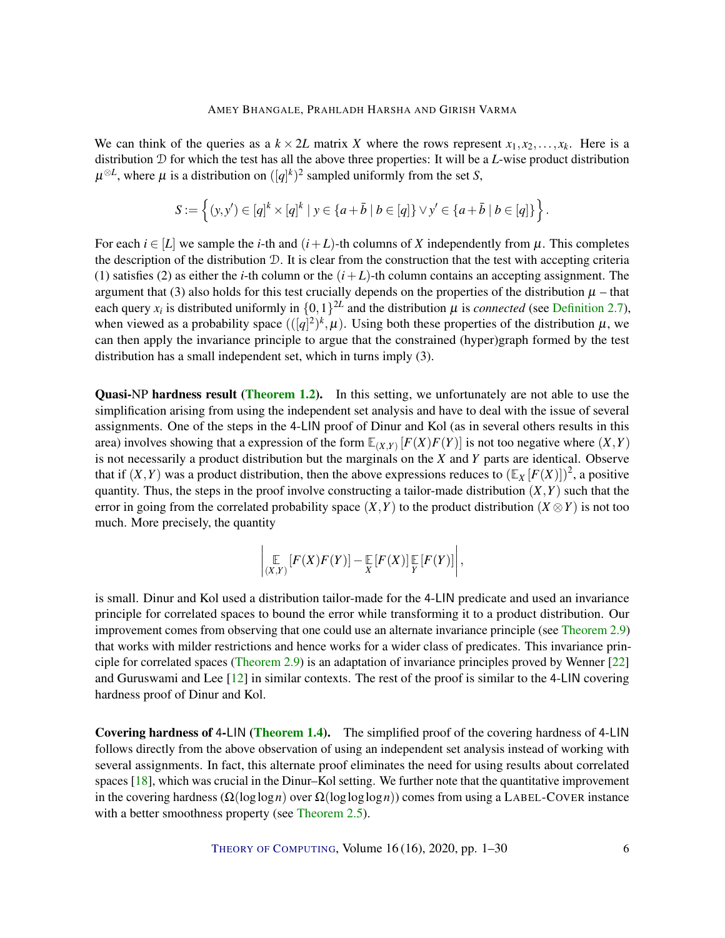<span id="page-5-0"></span>We can think of the queries as a  $k \times 2L$  matrix *X* where the rows represent  $x_1, x_2, \ldots, x_k$ . Here is a distribution D for which the test has all the above three properties: It will be a *L*-wise product distribution  $\mu^{\otimes L}$ , where  $\mu$  is a distribution on  $([q]^k)^2$  sampled uniformly from the set *S*,

$$
S := \left\{ (y, y') \in [q]^k \times [q]^k \mid y \in \{a + \bar{b} \mid b \in [q]\} \vee y' \in \{a + \bar{b} \mid b \in [q]\} \right\}.
$$

For each  $i \in [L]$  we sample the *i*-th and  $(i+L)$ -th columns of X independently from  $\mu$ . This completes the description of the distribution  $D$ . It is clear from the construction that the test with accepting criteria (1) satisfies (2) as either the *i*-th column or the  $(i+L)$ -th column contains an accepting assignment. The argument that (3) also holds for this test crucially depends on the properties of the distribution  $\mu$  – that each query  $x_i$  is distributed uniformly in  $\{0,1\}^{2L}$  and the distribution  $\mu$  is *connected* (see [Definition](#page-8-0) [2.7\)](#page-8-0), when viewed as a probability space  $(([q]^2)^k, \mu)$ . Using both these properties of the distribution  $\mu$ , we can then apply the invariance principle to argue that the constrained (hyper)graph formed by the test distribution has a small independent set, which in turns imply (3).

Quasi-NP hardness result [\(Theorem](#page-2-1) [1.2\)](#page-2-1). In this setting, we unfortunately are not able to use the simplification arising from using the independent set analysis and have to deal with the issue of several assignments. One of the steps in the 4-LIN proof of Dinur and Kol (as in several others results in this area) involves showing that a expression of the form  $\mathbb{E}_{(X,Y)}[F(X)F(Y)]$  is not too negative where  $(X,Y)$ is not necessarily a product distribution but the marginals on the *X* and *Y* parts are identical. Observe that if  $(X, Y)$  was a product distribution, then the above expressions reduces to  $(\mathbb{E}_X[F(X)])^2$ , a positive quantity. Thus, the steps in the proof involve constructing a tailor-made distribution  $(X, Y)$  such that the error in going from the correlated probability space  $(X, Y)$  to the product distribution  $(X \otimes Y)$  is not too much. More precisely, the quantity

$$
\left|\mathop{\mathbb{E}}_{(X,Y)}\left[F(X)F(Y)\right]-\mathop{\mathbb{E}}_{X}\left[F(X)\right]\mathop{\mathbb{E}}_{Y}\left[F(Y)\right]\right|,
$$

is small. Dinur and Kol used a distribution tailor-made for the 4-LIN predicate and used an invariance principle for correlated spaces to bound the error while transforming it to a product distribution. Our improvement comes from observing that one could use an alternate invariance principle (see [Theorem](#page-9-1) [2.9\)](#page-9-1) that works with milder restrictions and hence works for a wider class of predicates. This invariance principle for correlated spaces [\(Theorem](#page-9-1) [2.9\)](#page-9-1) is an adaptation of invariance principles proved by Wenner [\[22\]](#page-27-3) and Guruswami and Lee [\[12\]](#page-26-6) in similar contexts. The rest of the proof is similar to the 4-LIN covering hardness proof of Dinur and Kol.

Covering hardness of 4-LIN [\(Theorem](#page-3-0) [1.4\)](#page-3-0). The simplified proof of the covering hardness of 4-LIN follows directly from the above observation of using an independent set analysis instead of working with several assignments. In fact, this alternate proof eliminates the need for using results about correlated spaces [\[18\]](#page-27-4), which was crucial in the Dinur–Kol setting. We further note that the quantitative improvement in the covering hardness (Ω(loglog*n*) over Ω(logloglog*n*)) comes from using a LABEL-COVER instance with a better smoothness property (see [Theorem](#page-7-0) [2.5\)](#page-7-0).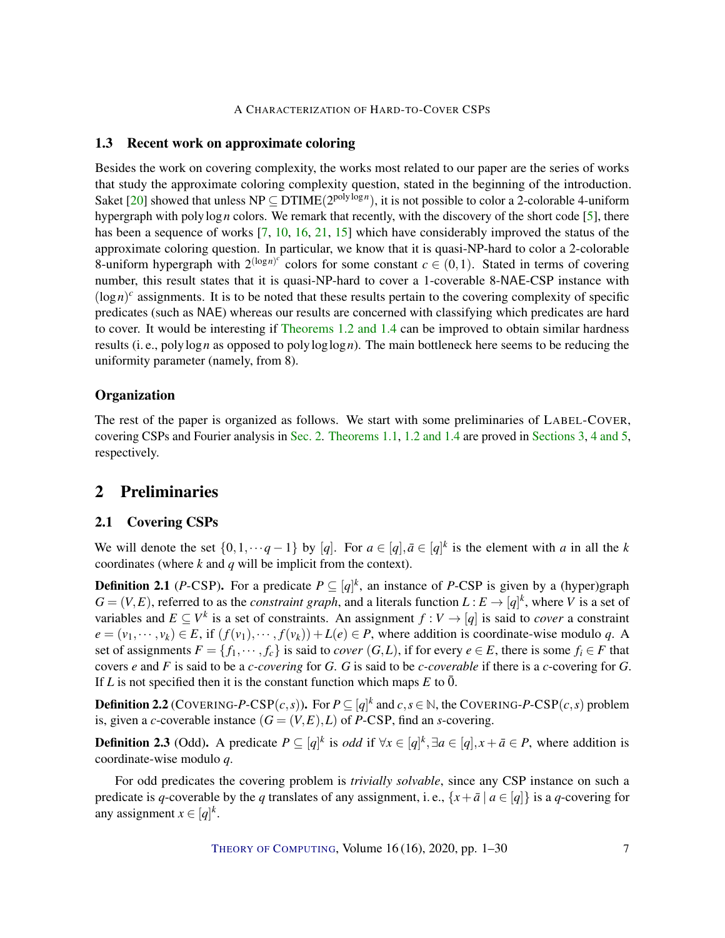# <span id="page-6-2"></span><span id="page-6-0"></span>1.3 Recent work on approximate coloring

Besides the work on covering complexity, the works most related to our paper are the series of works that study the approximate coloring complexity question, stated in the beginning of the introduction. Saket [\[20\]](#page-27-5) showed that unless  $NP \subseteq DTIME(2^{poly\log n})$ , it is not possible to color a 2-colorable 4-uniform hypergraph with polylog *n* colors. We remark that recently, with the discovery of the short code  $[5]$ , there has been a sequence of works [\[7,](#page-26-8) [10,](#page-26-9) [16,](#page-27-6) [21,](#page-27-7) [15\]](#page-26-10) which have considerably improved the status of the approximate coloring question. In particular, we know that it is quasi-NP-hard to color a 2-colorable 8-uniform hypergraph with  $2^{(\log n)^c}$  colors for some constant  $c \in (0,1)$ . Stated in terms of covering number, this result states that it is quasi-NP-hard to cover a 1-coverable 8-NAE-CSP instance with  $(\log n)^c$  assignments. It is to be noted that these results pertain to the covering complexity of specific predicates (such as NAE) whereas our results are concerned with classifying which predicates are hard to cover. It would be interesting if [Theorems](#page-2-1) [1.2](#page-2-1) [and](#page-3-0) [1.4](#page-3-0) can be improved to obtain similar hardness results (i. e., polylog*n* as opposed to polyloglog*n*). The main bottleneck here seems to be reducing the uniformity parameter (namely, from 8).

# **Organization**

The rest of the paper is organized as follows. We start with some preliminaries of LABEL-COVER, covering CSPs and Fourier analysis in [Sec.](#page-6-1) [2.](#page-6-1) [Theorems](#page-2-0) [1.1,](#page-2-0) [1.2](#page-2-1) [and](#page-3-0) [1.4](#page-3-0) are proved in [Sections](#page-9-2) [3,](#page-9-2) [4](#page-12-0) [and](#page-21-0) [5,](#page-21-0) respectively.

# <span id="page-6-1"></span>2 Preliminaries

# 2.1 Covering CSPs

We will denote the set  $\{0,1,\dots q-1\}$  by [*q*]. For  $a \in [q], \bar{a} \in [q]^k$  is the element with *a* in all the *k* coordinates (where *k* and *q* will be implicit from the context).

**Definition 2.1** (*P*-CSP). For a predicate  $P \subseteq [q]^k$ , an instance of *P*-CSP is given by a (hyper)graph  $G = (V, E)$ , referred to as the *constraint graph*, and a literals function  $L : E \to [q]^k$ , where *V* is a set of variables and  $E \subseteq V^k$  is a set of constraints. An assignment  $f : V \to [q]$  is said to *cover* a constraint  $e = (v_1, \dots, v_k) \in E$ , if  $(f(v_1), \dots, f(v_k)) + L(e) \in P$ , where addition is coordinate-wise modulo *q*. A set of assignments  $F = \{f_1, \dots, f_c\}$  is said to *cover*  $(G, L)$ , if for every  $e \in E$ , there is some  $f_i \in F$  that covers *e* and *F* is said to be a *c-covering* for *G*. *G* is said to be *c-coverable* if there is a *c*-covering for *G*. If *L* is not specified then it is the constant function which maps *E* to  $\overline{0}$ .

**Definition 2.2** (COVERING-P-CSP $(c, s)$ ). For  $P \subseteq [q]^k$  and  $c, s \in \mathbb{N}$ , the COVERING-P-CSP $(c, s)$  problem is, given a *c*-coverable instance  $(G = (V, E), L)$  of *P*-CSP, find an *s*-covering.

**Definition 2.3** (Odd). A predicate  $P \subseteq [q]^k$  is *odd* if  $\forall x \in [q]^k, \exists a \in [q], x + \bar{a} \in P$ , where addition is coordinate-wise modulo *q*.

For odd predicates the covering problem is *trivially solvable*, since any CSP instance on such a predicate is *q*-coverable by the *q* translates of any assignment, i. e.,  $\{x + \bar{a} \mid a \in [q]\}$  is a *q*-covering for any assignment  $x \in [q]^k$ .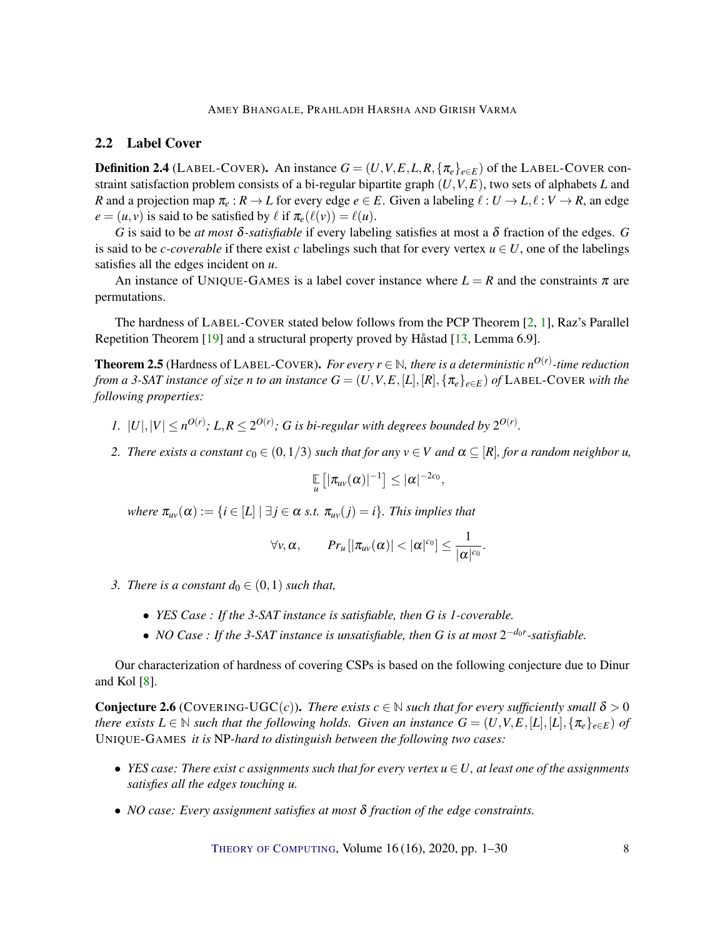### <span id="page-7-2"></span>2.2 Label Cover

<span id="page-7-1"></span>**Definition 2.4** (LABEL-COVER). An instance  $G = (U, V, E, L, R, \{\pi_e\}_{e \in E})$  of the LABEL-COVER constraint satisfaction problem consists of a bi-regular bipartite graph (*U*,*V*,*E*), two sets of alphabets *L* and *R* and a projection map  $\pi_e : R \to L$  for every edge  $e \in E$ . Given a labeling  $\ell : U \to L, \ell : V \to R$ , an edge  $e = (u, v)$  is said to be satisfied by  $\ell$  if  $\pi_e(\ell(v)) = \ell(u)$ .

*G* is said to be *at most* δ*-satisfiable* if every labeling satisfies at most a δ fraction of the edges. *G* is said to be *c-coverable* if there exist *c* labelings such that for every vertex  $u \in U$ , one of the labelings satisfies all the edges incident on *u*.

An instance of UNIQUE-GAMES is a label cover instance where  $L = R$  and the constraints  $\pi$  are permutations.

The hardness of LABEL-COVER stated below follows from the PCP Theorem [\[2,](#page-25-1) [1\]](#page-25-2), Raz's Parallel Repetition Theorem [\[19\]](#page-27-8) and a structural property proved by Håstad [\[13,](#page-26-11) Lemma 6.9].

<span id="page-7-0"></span>**Theorem 2.5** (Hardness of LABEL-COVER). *For every*  $r \in \mathbb{N}$ , there is a deterministic  $n^{O(r)}$ -time reduction *from a 3-SAT instance of size n to an instance*  $G = (U, V, E, [L], [R], \{ \pi_e \}_{e \in E})$  *of* LABEL-COVER with the *following properties:*

- *1.*  $|U|, |V| \leq n^{O(r)}$ ;  $L, R \leq 2^{O(r)}$ ; *G is bi-regular with degrees bounded by*  $2^{O(r)}$ *.*
- *2. There exists a constant*  $c_0 \in (0,1/3)$  *such that for any*  $v \in V$  *and*  $\alpha \subseteq [R]$ *, for a random neighbor u*,

$$
\mathop{\mathbb{E}}\limits_{u}\left[|\pi_{uv}(\alpha)|^{-1}\right]\leq |\alpha|^{-2c_0},
$$

*where*  $\pi_{uv}(\alpha) := \{i \in [L] \mid \exists j \in \alpha \text{ s.t. } \pi_{uv}(j) = i\}$ . This implies that

$$
\forall v,\alpha,\qquad Pr_u\big[|\pi_{uv}(\alpha)|<|\alpha|^{c_0}\big]\leq\frac{1}{|\alpha|^{c_0}}.
$$

- *3. There is a constant*  $d_0 \in (0,1)$  *such that,* 
	- *YES Case : If the 3-SAT instance is satisfiable, then G is 1-coverable.*
	- *NO Case : If the 3-SAT instance is unsatisfiable, then G is at most*  $2^{-d_0r}$ -satisfiable.

Our characterization of hardness of covering CSPs is based on the following conjecture due to Dinur and Kol  $[8]$ .

**Conjecture 2.6** (COVERING-UGC(*c*)). *There exists*  $c \in \mathbb{N}$  *such that for every sufficiently small*  $\delta > 0$ *there exists*  $L \in \mathbb{N}$  *such that the following holds. Given an instance*  $G = (U, V, E, [L], [L], \{\pi_e\}_{e \in E})$  *of* UNIQUE-GAMES *it is* NP*-hard to distinguish between the following two cases:*

- *YES case: There exist c assignments such that for every vertex u* ∈*U, at least one of the assignments satisfies all the edges touching u.*
- *NO case: Every assignment satisfies at most* δ *fraction of the edge constraints.*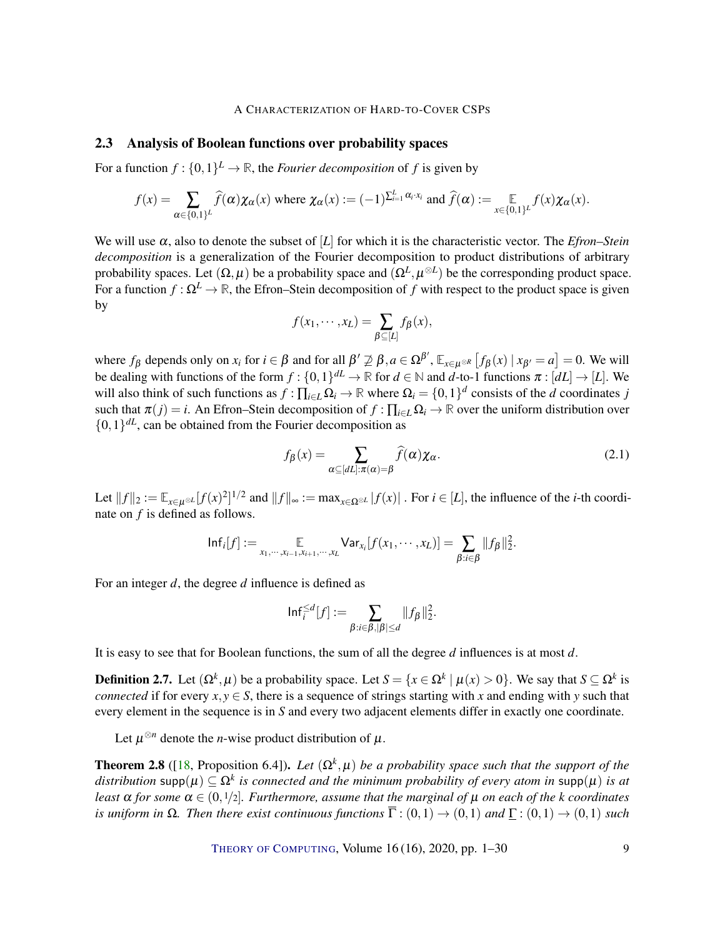### <span id="page-8-3"></span>2.3 Analysis of Boolean functions over probability spaces

For a function  $f: \{0,1\}^L \to \mathbb{R}$ , the *Fourier decomposition* of f is given by

$$
f(x) = \sum_{\alpha \in \{0,1\}^L} \widehat{f}(\alpha) \chi_{\alpha}(x) \text{ where } \chi_{\alpha}(x) := (-1)^{\sum_{i=1}^L \alpha_i \cdot x_i} \text{ and } \widehat{f}(\alpha) := \mathop{\mathbb{E}}_{x \in \{0,1\}^L} f(x) \chi_{\alpha}(x).
$$

We will use  $\alpha$ , also to denote the subset of [*L*] for which it is the characteristic vector. The *Efron–Stein decomposition* is a generalization of the Fourier decomposition to product distributions of arbitrary probability spaces. Let  $(\Omega, \mu)$  be a probability space and  $(\Omega^L, \mu^{\otimes L})$  be the corresponding product space. For a function  $f : \Omega^L \to \mathbb{R}$ , the Efron–Stein decomposition of f with respect to the product space is given by

$$
f(x_1,\dots,x_L)=\sum_{\beta\subseteq[L]}f_{\beta}(x),
$$

where  $f_{\beta}$  depends only on  $x_i$  for  $i \in \beta$  and for all  $\beta' \not\supseteq \beta$ ,  $a \in \Omega^{\beta'}$ ,  $\mathbb{E}_{x \in \mu^{\otimes R}} [f_{\beta}(x) | x_{\beta'} = a] = 0$ . We will be dealing with functions of the form  $f: \{0,1\}^{dL} \to \mathbb{R}$  for  $d \in \mathbb{N}$  and  $d$ -to-1 functions  $\pi : [dL] \to [L]$ . We will also think of such functions as  $f: \prod_{i \in L} \Omega_i \to \mathbb{R}$  where  $\Omega_i = \{0,1\}^d$  consists of the *d* coordinates *j* such that  $\pi(j) = i$ . An Efron–Stein decomposition of  $f : \prod_{i \in L} \Omega_i \to \mathbb{R}$  over the uniform distribution over  $\{0,1\}^{dL}$ , can be obtained from the Fourier decomposition as

<span id="page-8-2"></span>
$$
f_{\beta}(x) = \sum_{\alpha \subseteq [dL]: \pi(\alpha) = \beta} \widehat{f}(\alpha) \chi_{\alpha}.
$$
 (2.1)

.

Let  $||f||_2 := \mathbb{E}_{x \in \mu^{\otimes L}}[f(x)^2]^{1/2}$  and  $||f||_{\infty} := \max_{x \in \Omega^{\otimes L}}|f(x)|$ . For  $i \in [L]$ , the influence of the *i*-th coordinate on *f* is defined as follows.

$$
\mathsf{Inf}_i[f] := \mathop{\mathbb{E}}_{x_1,\cdots,x_{i-1},x_{i+1},\cdots,x_L} \mathsf{Var}_{x_i}[f(x_1,\cdots,x_L)] = \sum_{\beta:i\in\beta} ||f_\beta||_2^2.
$$

For an integer *d*, the degree *d* influence is defined as

$$
\mathsf{Inf}^{\leq d}_i[f] := \sum_{\beta: i \in \beta, |\beta| \leq d} \|f_\beta\|_2^2
$$

It is easy to see that for Boolean functions, the sum of all the degree *d* influences is at most *d*.

<span id="page-8-0"></span>**Definition 2.7.** Let  $(\Omega^k, \mu)$  be a probability space. Let  $S = \{x \in \Omega^k \mid \mu(x) > 0\}$ . We say that  $S \subseteq \Omega^k$  is *connected* if for every  $x, y \in S$ , there is a sequence of strings starting with *x* and ending with *y* such that every element in the sequence is in *S* and every two adjacent elements differ in exactly one coordinate.

Let  $\mu^{\otimes n}$  denote the *n*-wise product distribution of  $\mu$ .

<span id="page-8-1"></span>**Theorem 2.8** ([\[18,](#page-27-4) Proposition 6.4]). *Let*  $(\Omega^k, \mu)$  *be a probability space such that the support of the*  $distribution\ \text{supp}(\mu)\subseteq \Omega^k$  *is connected and the minimum probability of every atom in*  $\text{supp}(\mu)$  *is at least*  $\alpha$  *for some*  $\alpha \in (0, 1/2]$ *. Furthermore, assume that the marginal of*  $\mu$  *on each of the k coordinates is uniform in*  $\Omega$ *. Then there exist continuous functions*  $\overline{\Gamma}$  :  $(0,1) \rightarrow (0,1)$  *and*  $\Gamma$  :  $(0,1) \rightarrow (0,1)$  *such*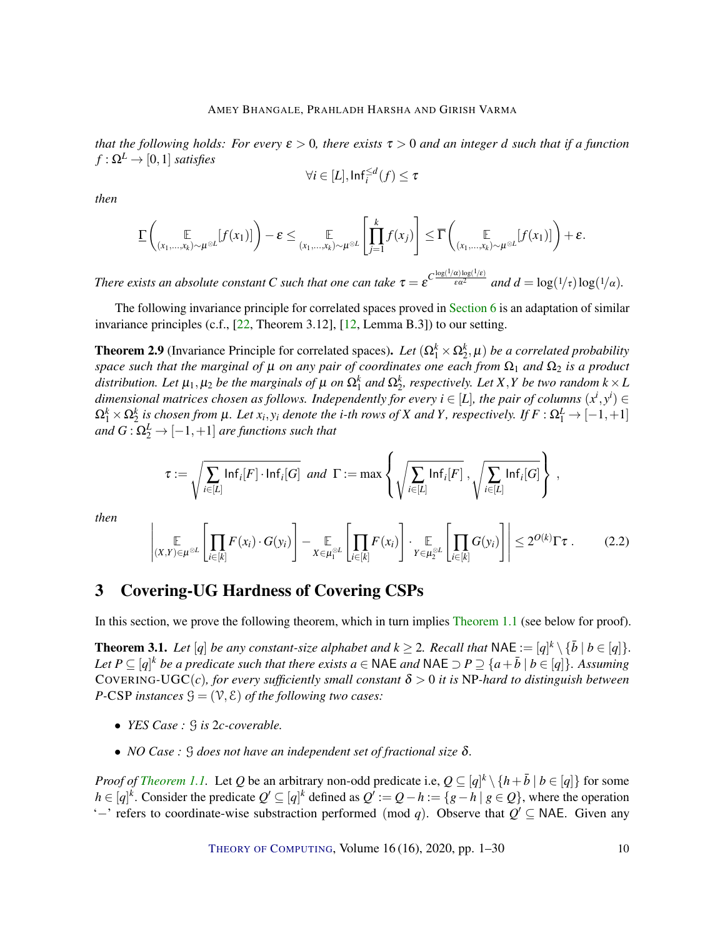<span id="page-9-4"></span>*that the following holds: For every*  $\varepsilon > 0$ *, there exists*  $\tau > 0$  *and an integer d such that if a function*  $f : \Omega^L \to [0,1]$  *satisfies* 

$$
\forall i \in [L], \mathsf{Inf}^{\leq d}_i(f) \leq \tau
$$

*then*

$$
\underline{\Gamma}\left(\underset{(x_1,\ldots,x_k)\sim\mu^{\otimes L}}{\mathbb{E}}[f(x_1)]\right)-\varepsilon\leq \underset{(x_1,\ldots,x_k)\sim\mu^{\otimes L}}{\mathbb{E}}\left[\prod_{j=1}^k f(x_j)\right]\leq \overline{\Gamma}\left(\underset{(x_1,\ldots,x_k)\sim\mu^{\otimes L}}{\mathbb{E}}[f(x_1)]\right)+\varepsilon.
$$

*There exists an absolute constant C* such that one can take  $\tau = \varepsilon^{C \frac{\log(1/\alpha) \log(1/\varepsilon)}{\varepsilon \alpha^2}}$  and  $d = \log(1/\tau) \log(1/\alpha)$ .

The following invariance principle for correlated spaces proved in [Section](#page-23-0) [6](#page-23-0) is an adaptation of similar invariance principles (c.f., [\[22,](#page-27-3) Theorem 3.12], [\[12,](#page-26-6) Lemma B.3]) to our setting.

<span id="page-9-1"></span>**Theorem 2.9** (Invariance Principle for correlated spaces). Let  $(\Omega_1^k \times \Omega_2^k, \mu)$  be a correlated probability *space such that the marginal of*  $\mu$  *on any pair of coordinates one each from*  $\Omega_1$  *and*  $\Omega_2$  *is a product* distribution. Let  $\mu_1, \mu_2$  be the marginals of  $\mu$  on  $\Omega_1^k$  and  $\Omega_2^k$ , respectively. Let X,Y be two random  $k \times L$ dimensional matrices chosen as follows. Independently for every  $i \in [L]$ , the pair of columns  $(x^i, y^i) \in$  $\Omega_1^k\times\Omega_2^k$  is chosen from  $\mu$ . Let  $x_i,y_i$  denote the *i*-th rows of  $X$  and  $Y$ , respectively. If  $F:\Omega_1^L\to[-1,+1]$ and  $G$  :  $\Omega_2^L$   $\rightarrow$   $[-1,+1]$  *are functions such that* 

$$
\tau := \sqrt{\sum_{i \in [L]} \mathsf{Inf}_i[F] \cdot \mathsf{Inf}_i[G]} \; \; \text{and} \; \; \Gamma := \max \left\{ \sqrt{\sum_{i \in [L]} \mathsf{Inf}_i[F]} \; , \sqrt{\sum_{i \in [L]} \mathsf{Inf}_i[G]} \right\} \; ,
$$

*then*

<span id="page-9-3"></span>
$$
\left| \underset{(X,Y)\in\mu^{\otimes L}}{\mathbb{E}}\left[\prod_{i\in[k]}F(x_i)\cdot G(y_i)\right]-\underset{X\in\mu_1^{\otimes L}}{\mathbb{E}}\left[\prod_{i\in[k]}F(x_i)\right]\cdot \underset{Y\in\mu_2^{\otimes L}}{\mathbb{E}}\left[\prod_{i\in[k]}G(y_i)\right]\right|\leq 2^{O(k)}\Gamma\tau. \tag{2.2}
$$

# <span id="page-9-2"></span>3 Covering-UG Hardness of Covering CSPs

In this section, we prove the following theorem, which in turn implies [Theorem](#page-2-0) [1.1](#page-2-0) (see below for proof).

<span id="page-9-0"></span>**Theorem 3.1.** Let  $[q]$  be any constant-size alphabet and  $k \geq 2$ . Recall that NAE :=  $[q]^k \setminus {\bar{b} \mid b \in [q]}$ . *Let*  $P \subseteq [q]^k$  *be a predicate such that there exists*  $a \in \text{NAE}$  *and*  $\text{NAE} \supset P \supseteq \{a + \overline{b} \mid b \in [q]\}$ *. Assuming* COVERING-UGC(*c*)*, for every sufficiently small constant*  $\delta > 0$  *it is NP-hard to distinguish between P*-CSP *instances*  $\mathcal{G} = (\mathcal{V}, \mathcal{E})$  *of the following two cases:* 

- *YES Case :* G *is* 2*c-coverable.*
- *NO Case :* G *does not have an independent set of fractional size* δ*.*

*Proof of [Theorem](#page-2-0) [1.1.](#page-2-0)* Let *Q* be an arbitrary non-odd predicate i.e,  $Q \subseteq [q]^k \setminus \{h + \overline{b} \mid b \in [q]\}$  for some *h* ∈ [*q*]<sup>*k*</sup>. Consider the predicate  $Q' ⊆ [q]$ <sup>*k*</sup> defined as  $Q' := Q - h := \{g - h \mid g \in Q\}$ , where the operation ' $-$ ' refers to coordinate-wise substraction performed (mod *q*). Observe that  $Q' ⊆$  NAE. Given any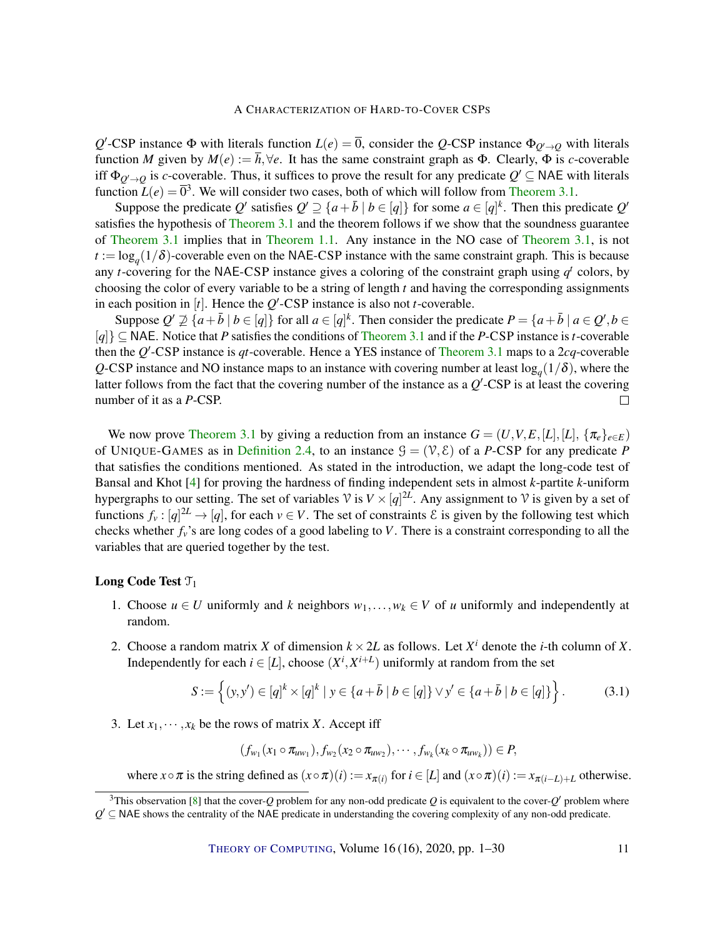<span id="page-10-1"></span> $Q'$ -CSP instance Φ with literals function *L*(*e*) =  $\overline{0}$ , consider the *Q*-CSP instance Φ<sub>*Q*<sup>*(*</sup>→*Q*</sub> with literals function *M* given by  $M(e) := \overline{h}, \forall e$ . It has the same constraint graph as  $\Phi$ . Clearly,  $\overline{\Phi}$  is *c*-coverable iff  $\Phi_{Q'\to Q}$  is *c*-coverable. Thus, it suffices to prove the result for any predicate  $Q' \subseteq$  NAE with literals function  $L(e) = \overline{0}^3$ . We will consider two cases, both of which will follow from [Theorem](#page-9-0) [3.1.](#page-9-0)

Suppose the predicate  $Q'$  satisfies  $Q' \supseteq \{a + \bar{b} \mid b \in [q]\}$  for some  $a \in [q]^k$ . Then this predicate  $Q'$ satisfies the hypothesis of [Theorem](#page-9-0) [3.1](#page-9-0) and the theorem follows if we show that the soundness guarantee of [Theorem](#page-9-0) [3.1](#page-9-0) implies that in [Theorem](#page-2-0) [1.1.](#page-2-0) Any instance in the NO case of [Theorem](#page-9-0) [3.1,](#page-9-0) is not  $t := \log_q(1/\delta)$ -coverable even on the NAE-CSP instance with the same constraint graph. This is because any *t*-covering for the NAE-CSP instance gives a coloring of the constraint graph using  $q<sup>t</sup>$  colors, by choosing the color of every variable to be a string of length *t* and having the corresponding assignments in each position in  $[t]$ . Hence the  $Q'$ -CSP instance is also not *t*-coverable.

Suppose  $Q' \not\supseteq \{a + \bar{b} \mid b \in [q]\}$  for all  $a \in [q]^k$ . Then consider the predicate  $P = \{a + \bar{b} \mid a \in Q', b \in Q\}$ [*q*]} ⊆ NAE. Notice that *P* satisfies the conditions of [Theorem](#page-9-0) [3.1](#page-9-0) and if the *P*-CSP instance is*t*-coverable then the *Q*'-CSP instance is *qt*-coverable. Hence a YES instance of [Theorem](#page-9-0) [3.1](#page-9-0) maps to a 2*cq*-coverable  $Q$ -CSP instance and NO instance maps to an instance with covering number at least  $log_q(1/\delta)$ , where the latter follows from the fact that the covering number of the instance as a  $Q'$ -CSP is at least the covering number of it as a *P*-CSP.  $\Box$ 

We now prove [Theorem](#page-9-0) [3.1](#page-9-0) by giving a reduction from an instance  $G = (U, V, E, [L], [L], {\pi_e}_{e \in E})$ of UNIQUE-GAMES as in [Definition](#page-7-1) [2.4,](#page-7-1) to an instance  $\mathcal{G} = (\mathcal{V}, \mathcal{E})$  of a *P*-CSP for any predicate *P* that satisfies the conditions mentioned. As stated in the introduction, we adapt the long-code test of Bansal and Khot [\[4\]](#page-26-5) for proving the hardness of finding independent sets in almost *k*-partite *k*-uniform hypergraphs to our setting. The set of variables  $\mathcal{V}$  is  $V \times [q]^{\mathbb{Z}L}$ . Any assignment to  $\mathcal{V}$  is given by a set of functions  $f_v : [q]^{2L} \to [q]$ , for each  $v \in V$ . The set of constraints  $\mathcal E$  is given by the following test which checks whether *fv*'s are long codes of a good labeling to *V*. There is a constraint corresponding to all the variables that are queried together by the test.

### Long Code Test  $\mathcal{T}_1$

- 1. Choose  $u \in U$  uniformly and *k* neighbors  $w_1, \ldots, w_k \in V$  of *u* uniformly and independently at random.
- 2. Choose a random matrix *X* of dimension  $k \times 2L$  as follows. Let  $X^i$  denote the *i*-th column of *X*. Independently for each  $i \in [L]$ , choose  $(X^i, X^{i+L})$  uniformly at random from the set

$$
S := \left\{ (y, y') \in [q]^k \times [q]^k \mid y \in \{a + \bar{b} \mid b \in [q] \} \vee y' \in \{a + \bar{b} \mid b \in [q] \} \right\}.
$$
 (3.1)

3. Let  $x_1, \dots, x_k$  be the rows of matrix *X*. Accept iff

<span id="page-10-0"></span>
$$
(f_{w_1}(x_1\circ \pi_{uw_1}), f_{w_2}(x_2\circ \pi_{uw_2}), \cdots, f_{w_k}(x_k\circ \pi_{uw_k}))\in P,
$$

where  $x \circ \pi$  is the string defined as  $(x \circ \pi)(i) := x_{\pi(i)}$  for  $i \in [L]$  and  $(x \circ \pi)(i) := x_{\pi(i-L)+L}$  otherwise.

 $3$ This observation [\[8\]](#page-26-3) that the cover-*Q* problem for any non-odd predicate *Q* is equivalent to the cover-*Q'* problem where  $Q' \subseteq$  NAE shows the centrality of the NAE predicate in understanding the covering complexity of any non-odd predicate.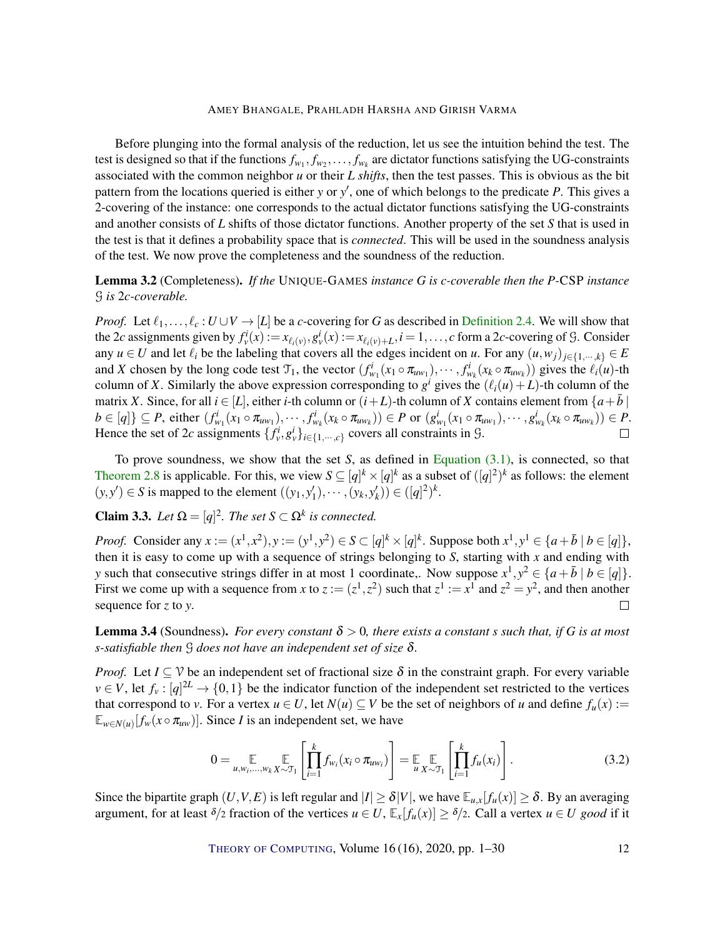Before plunging into the formal analysis of the reduction, let us see the intuition behind the test. The test is designed so that if the functions  $f_{w_1}, f_{w_2}, \ldots, f_{w_k}$  are dictator functions satisfying the UG-constraints associated with the common neighbor *u* or their *L shifts*, then the test passes. This is obvious as the bit pattern from the locations queried is either *y* or *y'*, one of which belongs to the predicate *P*. This gives a 2-covering of the instance: one corresponds to the actual dictator functions satisfying the UG-constraints and another consists of *L* shifts of those dictator functions. Another property of the set *S* that is used in the test is that it defines a probability space that is *connected*. This will be used in the soundness analysis of the test. We now prove the completeness and the soundness of the reduction.

# Lemma 3.2 (Completeness). *If the* UNIQUE-GAMES *instance G is c-coverable then the P-*CSP *instance* G *is* 2*c-coverable.*

*Proof.* Let  $\ell_1, \ldots, \ell_c : U \cup V \to [L]$  be a *c*-covering for *G* as described in [Definition](#page-7-1) [2.4.](#page-7-1) We will show that the 2c assignments given by  $f_v^i(x) := x_{\ell_i(v)}, g_v^i(x) := x_{\ell_i(v)+L}, i = 1, \ldots, c$  form a 2c-covering of G. Consider any  $u \in U$  and let  $\ell_i$  be the labeling that covers all the edges incident on *u*. For any  $(u, w_j)_{j \in \{1, \dots, k\}} \in E$ and X chosen by the long code test  $\mathcal{T}_1$ , the vector  $(f_{w_1}^i(x_1 \circ \pi_{uw_1}), \cdots, f_{w_k}^i(x_k \circ \pi_{uw_k}))$  gives the  $\ell_i(u)$ -th column of *X*. Similarly the above expression corresponding to  $g^i$  gives the  $(\ell_i(u) + L)$ -th column of the matrix *X*. Since, for all  $i \in [L]$ , either *i*-th column or  $(i+L)$ -th column of *X* contains element from  $\{a+b\}$  $b \in [q] \} \subseteq P$ , either  $(f_{w_1}^i(x_1 \circ \pi_{uw_1}), \cdots, f_{w_k}^i(x_k \circ \pi_{uw_k})) \in P$  or  $(g_{w_1}^i(x_1 \circ \pi_{uw_1}), \cdots, g_{w_k}^i(x_k \circ \pi_{uw_k})) \in P$ . Hence the set of 2*c* assignments  $\{f_v^i, g_v^i\}_{i \in \{1, \dots, c\}}$  covers all constraints in  $\mathcal{G}$ .

To prove soundness, we show that the set *S*, as defined in [Equation](#page-10-0) [\(3.1\),](#page-10-0) is connected, so that [Theorem](#page-8-1) [2.8](#page-8-1) is applicable. For this, we view  $S \subseteq [q]^k \times [q]^k$  as a subset of  $([q]^2)^k$  as follows: the element  $(y, y') \in S$  is mapped to the element  $((y_1, y'_1), \dots, (y_k, y'_k)) \in ([q]^2)^k$ .

# <span id="page-11-1"></span>**Claim 3.3.** Let  $\Omega = [q]^2$ . The set  $S \subset \Omega^k$  is connected.

*Proof.* Consider any  $x := (x^1, x^2), y := (y^1, y^2) \in S \subset [q]^k \times [q]^k$ . Suppose both  $x^1, y^1 \in \{a + \overline{b} \mid b \in [q]\},$ then it is easy to come up with a sequence of strings belonging to *S*, starting with *x* and ending with *y* such that consecutive strings differ in at most 1 coordinate,. Now suppose  $x^1, y^2 \in \{a + \bar{b} \mid b \in [q]\}.$ First we come up with a sequence from *x* to  $z := (z^1, z^2)$  such that  $z^1 := x^1$  and  $z^2 = y^2$ , and then another sequence for *z* to *y*.  $\Box$ 

**Lemma 3.4** (Soundness). *For every constant*  $\delta > 0$ , *there exists a constant s such that, if G is at most s-satisfiable then* G *does not have an independent set of size* δ*.*

*Proof.* Let  $I \subseteq V$  be an independent set of fractional size  $\delta$  in the constraint graph. For every variable  $v \in V$ , let  $f_v : [q]^{2L} \to \{0,1\}$  be the indicator function of the independent set restricted to the vertices that correspond to *v*. For a vertex  $u \in U$ , let  $N(u) \subseteq V$  be the set of neighbors of *u* and define  $f_u(x) :=$  $\mathbb{E}_{w \in N(u)}[f_w(x \circ \pi_{uw})]$ . Since *I* is an independent set, we have

<span id="page-11-0"></span>
$$
0 = \mathop{\mathbb{E}}_{u, w_i, ..., w_k} \mathop{\mathbb{E}}_{X \sim \mathcal{T}_1} \left[ \prod_{i=1}^k f_{w_i}(x_i \circ \pi_{uw_i}) \right] = \mathop{\mathbb{E}}_{u} \mathop{\mathbb{E}}_{X \sim \mathcal{T}_1} \left[ \prod_{i=1}^k f_u(x_i) \right].
$$
 (3.2)

Since the bipartite graph  $(U, V, E)$  is left regular and  $|I| \ge \delta |V|$ , we have  $\mathbb{E}_{u,x}[f_u(x)] \ge \delta$ . By an averaging argument, for at least  $\delta/2$  fraction of the vertices  $u \in U$ ,  $\mathbb{E}_x[f_u(x)] \geq \delta/2$ . Call a vertex  $u \in U$  good if it

THEORY OF C[OMPUTING](http://dx.doi.org/10.4086/toc), Volume 16 (16), 2020, pp. 1–30 12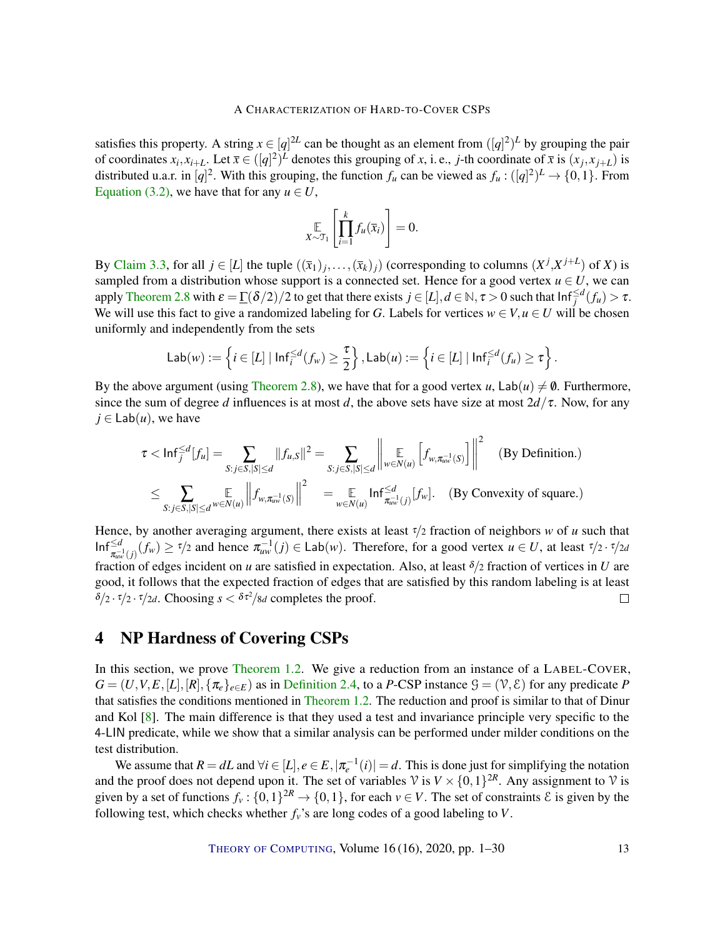<span id="page-12-1"></span>satisfies this property. A string  $x \in [q]^{2L}$  can be thought as an element from  $([q]^{2})^{L}$  by grouping the pair of coordinates  $x_i, x_{i+L}$ . Let  $\bar{x} \in ([q]^2)^L$  denotes this grouping of x, i.e., j-th coordinate of  $\bar{x}$  is  $(x_j, x_{j+L})$  is distributed u.a.r. in  $[q]^2$ . With this grouping, the function  $f_u$  can be viewed as  $f_u : ([q]^2)^L \to \{0,1\}$ . From [Equation](#page-11-0) [\(3.2\),](#page-11-0) we have that for any  $u \in U$ ,

$$
\mathop{\mathbb{E}}_{X \sim \mathcal{T}_1} \left[ \prod_{i=1}^k f_u(\overline{x}_i) \right] = 0.
$$

By [Claim](#page-11-1) [3.3,](#page-11-1) for all  $j \in [L]$  the tuple  $((\bar{x}_1)_j, \ldots, (\bar{x}_k)_j)$  (corresponding to columns  $(X^j, X^{j+L})$  of *X*) is sampled from a distribution whose support is a connected set. Hence for a good vertex  $u \in U$ , we can apply [Theorem](#page-8-1) [2.8](#page-8-1) with  $\varepsilon = \frac{\Gamma(\delta/2)}{2}$  to get that there exists  $j \in [L], d \in \mathbb{N}, \tau > 0$  such that  $\text{Inf}_{j}^{\le d}(f_u) > \tau$ . We will use this fact to give a randomized labeling for *G*. Labels for vertices  $w \in V, u \in U$  will be chosen uniformly and independently from the sets

$$
\mathsf{Lab}(w) := \left\{ i \in [L] \mid \mathsf{Inf}^{\leq d}_i(f_w) \geq \frac{\tau}{2} \right\}, \mathsf{Lab}(u) := \left\{ i \in [L] \mid \mathsf{Inf}^{\leq d}_i(f_u) \geq \tau \right\}.
$$

By the above argument (using [Theorem](#page-8-1) [2.8\)](#page-8-1), we have that for a good vertex *u*,  $\text{Lab}(u) \neq \emptyset$ . Furthermore, since the sum of degree *d* influences is at most *d*, the above sets have size at most  $2d/\tau$ . Now, for any  $j \in$  Lab $(u)$ , we have

$$
\tau < \ln f_j^{\leq d} [f_u] = \sum_{S:j\in S,|S|\leq d} \|f_{u,S}\|^2 = \sum_{S:j\in S,|S|\leq d} \left\| \underset{w\in N(u)}{\mathbb{E}} \left[ f_{w,\pi_{uw}^{-1}(S)} \right] \right\|^2 \quad \text{(By Definition.)}
$$
\n
$$
\leq \sum_{S:j\in S,|S|\leq d} \underset{w\in N(u)}{\mathbb{E}} \left\| f_{w,\pi_{uw}^{-1}(S)} \right\|^2 = \underset{w\in N(u)}{\mathbb{E}} \ln f_{\pi_{uw}^{-1}(j)}^{\leq d} [f_w]. \quad \text{(By Convexity of square.)}
$$

Hence, by another averaging argument, there exists at least τ/2 fraction of neighbors *w* of *u* such that  $\text{Inf}_{\pi_{aw}^{-1}(j)}^{\\\leq d}(f_w) \geq \tau/2$  and hence  $\pi_{uw}^{-1}(j) \in \text{Lab}(w)$ . Therefore, for a good vertex  $u \in U$ , at least  $\tau/2 \cdot \tau/2d$ fraction of edges incident on *u* are satisfied in expectation. Also, at least  $\delta/2$  fraction of vertices in *U* are good, it follows that the expected fraction of edges that are satisfied by this random labeling is at least  $\delta/2 \cdot \tau/2 \cdot \tau/2d$ . Choosing  $s < \delta \tau^2/8d$  completes the proof.  $\Box$ 

# <span id="page-12-0"></span>4 NP Hardness of Covering CSPs

In this section, we prove [Theorem](#page-2-1) [1.2.](#page-2-1) We give a reduction from an instance of a LABEL-COVER,  $G = (U, V, E, [L], [R], \{ \pi_e \}_{e \in E}$  as in [Definition](#page-7-1) [2.4,](#page-7-1) to a *P*-CSP instance  $\mathcal{G} = (\mathcal{V}, \mathcal{E})$  for any predicate *P* that satisfies the conditions mentioned in [Theorem](#page-2-1) [1.2.](#page-2-1) The reduction and proof is similar to that of Dinur and Kol [\[8\]](#page-26-3). The main difference is that they used a test and invariance principle very specific to the 4-LIN predicate, while we show that a similar analysis can be performed under milder conditions on the test distribution.

We assume that  $R = dL$  and  $\forall i \in [L], e \in E, |\pi_e^{-1}(i)| = d$ . This is done just for simplifying the notation and the proof does not depend upon it. The set of variables  $\mathcal{V}$  is  $V \times \{0,1\}^{2R}$ . Any assignment to  $\mathcal{V}$  is given by a set of functions  $f_v: \{0,1\}^{2R} \to \{0,1\}$ , for each  $v \in V$ . The set of constraints  $\mathcal E$  is given by the following test, which checks whether  $f_v$ 's are long codes of a good labeling to *V*.

THEORY OF C[OMPUTING](http://dx.doi.org/10.4086/toc), Volume 16 (16), 2020, pp. 1–30 13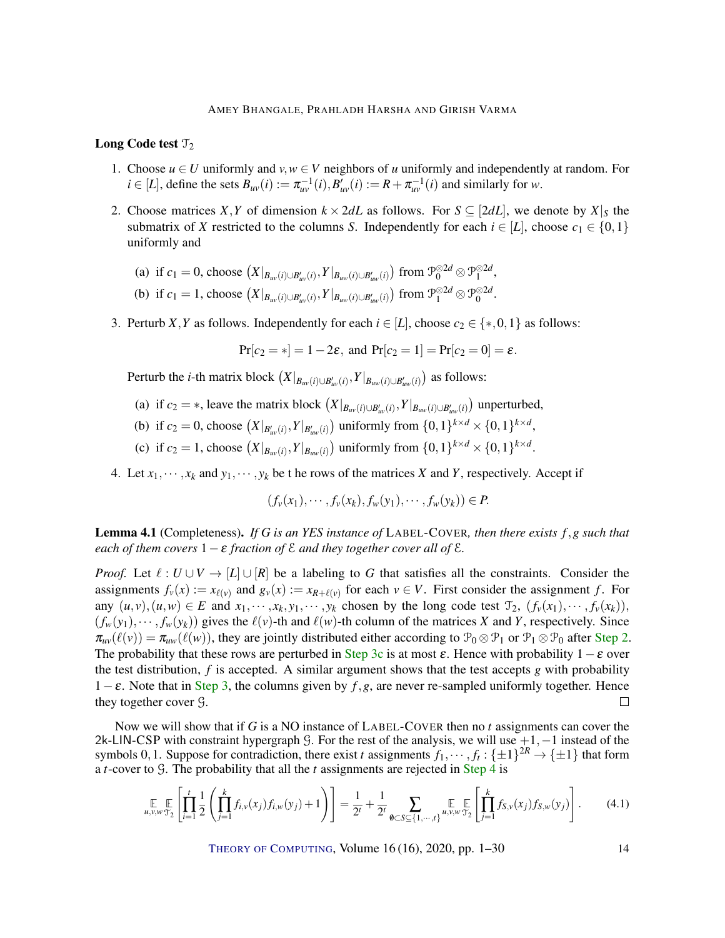### Long Code test  $\mathcal{T}_2$

- 1. Choose  $u \in U$  uniformly and  $v, w \in V$  neighbors of *u* uniformly and independently at random. For  $i \in [L]$ , define the sets  $B_{uv}(i) := \pi_{uv}^{-1}(i), B'_{uv}(i) := R + \pi_{uv}^{-1}(i)$  and similarly for *w*.
- <span id="page-13-0"></span>2. Choose matrices *X*, *Y* of dimension  $k \times 2dL$  as follows. For  $S \subseteq [2dL]$ , we denote by  $X|_S$  the submatrix of *X* restricted to the columns *S*. Independently for each  $i \in [L]$ , choose  $c_1 \in \{0,1\}$ uniformly and

(a) if 
$$
c_1 = 0
$$
, choose  $(X|_{B_{uv}(i) \cup B'_{uv}(i)}, Y|_{B_{uv}(i) \cup B'_{uv}(i)})$  from  $\mathcal{P}_0^{\otimes 2d} \otimes \mathcal{P}_1^{\otimes 2d}$ ,

- (b) if  $c_1 = 1$ , choose  $(X|_{B_{uv}(i) \cup B'_{uv}(i)}, Y|_{B_{uw}(i) \cup B'_{uw}(i)})$  from  $\mathcal{P}_1^{\otimes 2d} \otimes \mathcal{P}_0^{\otimes 2d}$ .
- <span id="page-13-2"></span>3. Perturb *X*, *Y* as follows. Independently for each  $i \in [L]$ , choose  $c_2 \in \{*,0,1\}$  as follows:

$$
Pr[c_2 = *] = 1 - 2\varepsilon
$$
, and  $Pr[c_2 = 1] = Pr[c_2 = 0] = \varepsilon$ .

Perturb the *i*-th matrix block  $(X|_{B_{uv}(i) \cup B'_{uv}(i)}, Y|_{B_{uw}(i) \cup B'_{uv}(i)})$  as follows:

- (a) if  $c_2 = *$ , leave the matrix block  $(X|_{B_{uv}(i) \cup B'_{uv}(i)}, Y|_{B_{uv}(i) \cup B'_{uv}(i)})$  unperturbed,
- (b) if  $c_2 = 0$ , choose  $(X|_{B'_{uv}(i)}, Y|_{B'_{uv}(i)})$  uniformly from  $\{0, 1\}^{k \times d} \times \{0, 1\}^{k \times d}$ ,
- (c) if  $c_2 = 1$ , choose  $(X|_{B_{uv}(i)}, Y|_{B_{uv}(i)})$  uniformly from  $\{0,1\}^{k \times d} \times \{0,1\}^{k \times d}$ .
- <span id="page-13-3"></span><span id="page-13-1"></span>4. Let  $x_1, \dots, x_k$  and  $y_1, \dots, y_k$  be the rows of the matrices *X* and *Y*, respectively. Accept if

$$
(f_v(x_1),\cdots,f_v(x_k),f_w(y_1),\cdots,f_w(y_k))\in P.
$$

Lemma 4.1 (Completeness). *If G is an YES instance of* LABEL-COVER*, then there exists f*,*g such that each of them covers*  $1 - \varepsilon$  *fraction of*  $\epsilon$  *and they together cover all of*  $\epsilon$ *.* 

*Proof.* Let  $\ell : U \cup V \rightarrow [L] \cup [R]$  be a labeling to G that satisfies all the constraints. Consider the assignments  $f_v(x) := x_{\ell(v)}$  and  $g_v(x) := x_{R+\ell(v)}$  for each  $v \in V$ . First consider the assignment *f*. For any  $(u, v), (u, w) \in E$  and  $x_1, \dots, x_k, y_1, \dots, y_k$  chosen by the long code test  $\mathcal{T}_2$ ,  $(f_v(x_1), \dots, f_v(x_k)),$  $(f_w(y_1), \dots, f_w(y_k))$  gives the  $\ell(v)$ -th and  $\ell(w)$ -th column of the matrices *X* and *Y*, respectively. Since  $\pi_{uv}(\ell(v)) = \pi_{uw}(\ell(w))$ , they are jointly distributed either according to  $\mathcal{P}_0 \otimes \mathcal{P}_1$  or  $\mathcal{P}_1 \otimes \mathcal{P}_0$  after [Step](#page-13-0) [2.](#page-13-0) The probability that these rows are perturbed in [Step](#page-13-1) [3c](#page-13-1) is at most  $\varepsilon$ . Hence with probability  $1-\varepsilon$  over the test distribution, *f* is accepted. A similar argument shows that the test accepts *g* with probability 1−ε. Note that in [Step](#page-13-2) [3,](#page-13-2) the columns given by *f*,*g*, are never re-sampled uniformly together. Hence they together cover G.  $\Box$ 

Now we will show that if *G* is a NO instance of LABEL-COVER then no *t* assignments can cover the 2k-LIN-CSP with constraint hypergraph G. For the rest of the analysis, we will use +1,−1 instead of the symbols 0, 1. Suppose for contradiction, there exist *t* assignments  $f_1, \dots, f_t : \{\pm 1\}^{2R} \to \{\pm 1\}$  that form a *t*-cover to G. The probability that all the *t* assignments are rejected in [Step](#page-13-3) [4](#page-13-3) is

<span id="page-13-4"></span>
$$
\mathop{\mathbb{E}}_{u,v,w} \mathop{\mathbb{E}}_{\mathcal{T}_2} \left[ \prod_{i=1}^t \frac{1}{2} \left( \prod_{j=1}^k f_{i,v}(x_j) f_{i,w}(y_j) + 1 \right) \right] = \frac{1}{2^t} + \frac{1}{2^t} \sum_{\emptyset \subset S \subseteq \{1,\cdots,t\}} \mathop{\mathbb{E}}_{u,v,w} \mathop{\mathbb{E}}_{\mathcal{T}_2} \left[ \prod_{j=1}^k f_{S,v}(x_j) f_{S,w}(y_j) \right].
$$
 (4.1)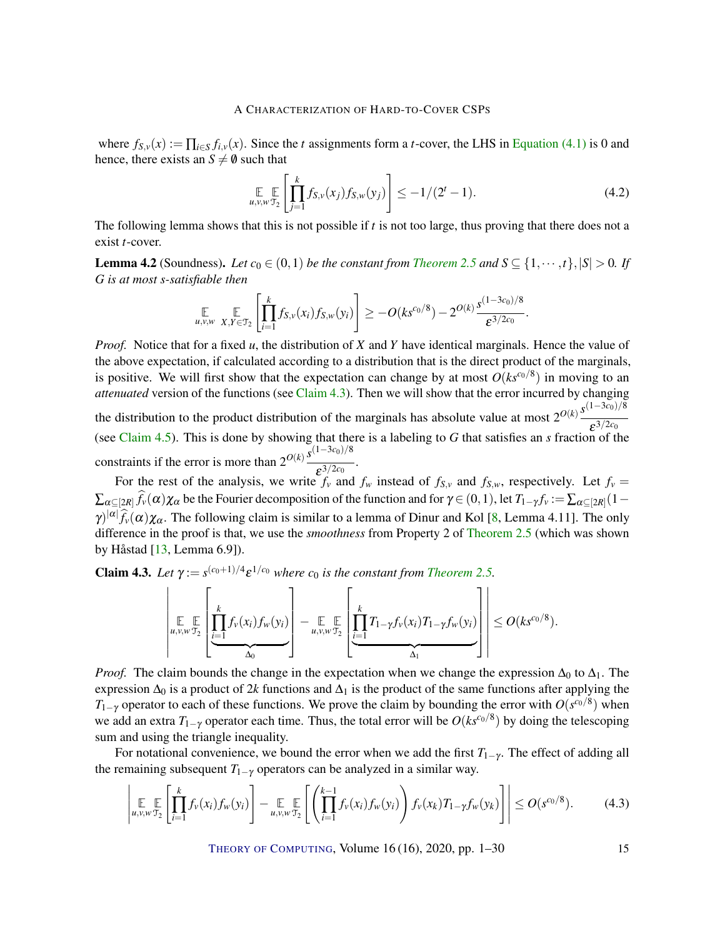<span id="page-14-4"></span>where  $f_{S,v}(x) := \prod_{i \in S} f_{i,v}(x)$ . Since the *t* assignments form a *t*-cover, the LHS in [Equation](#page-13-4) [\(4.1\)](#page-13-4) is 0 and hence, there exists an  $S \neq \emptyset$  such that

<span id="page-14-3"></span>
$$
\mathop{\mathbb{E}}_{u,v,w,T_2} \left[ \prod_{j=1}^k f_{S,v}(x_j) f_{S,w}(y_j) \right] \le -1/(2^t - 1). \tag{4.2}
$$

The following lemma shows that this is not possible if *t* is not too large, thus proving that there does not a exist *t*-cover.

<span id="page-14-2"></span>**Lemma 4.2** (Soundness). Let  $c_0 \in (0,1)$  be the constant from *[Theorem](#page-7-0)* [2.5](#page-7-0) and  $S \subseteq \{1, \dots, t\}, |S| > 0$ . If *G is at most s-satisfiable then*

$$
\mathop{\mathbb{E}}_{u,v,w} \mathop{\mathbb{E}}_{X,Y \in \mathfrak{I}_2} \left[ \prod_{i=1}^k f_{S,v}(x_i) f_{S,w}(y_i) \right] \geq -O(ks^{c_0/8}) - 2^{O(k)} \frac{s^{(1-3c_0)/8}}{\varepsilon^{3/2c_0}}.
$$

*Proof.* Notice that for a fixed *u*, the distribution of *X* and *Y* have identical marginals. Hence the value of the above expectation, if calculated according to a distribution that is the direct product of the marginals, is positive. We will first show that the expectation can change by at most  $O(ks^{c_0/8})$  in moving to an *attenuated* version of the functions (see [Claim](#page-14-0) [4.3\)](#page-14-0). Then we will show that the error incurred by changing the distribution to the product distribution of the marginals has absolute value at most  $2^{O(k)} \frac{s^{(1-3c_0)/8}}{s^{(1-3c_0)/8}}$  $\varepsilon^{3/2c_0}$ (see [Claim](#page-17-0) [4.5\)](#page-17-0). This is done by showing that there is a labeling to *G* that satisfies an *s* fraction of the constraints if the error is more than  $2^{O(k)} \frac{s^{(1-3c_0)/8}}{s^{(1-3c_0)}}$  $\overline{\varepsilon^{3/2c_0}}$ .

For the rest of the analysis, we write  $f_v$  and  $f_w$  instead of  $f_{S,v}$  and  $f_{S,w}$ , respectively. Let  $f_v =$  $\sum_{\alpha\subseteq[2R]}f_\nu(\alpha)\chi_\alpha$  be the Fourier decomposition of the function and for  $\gamma\in(0,1)$ , let  $T_{1-\gamma}f_\nu:=\sum_{\alpha\subseteq[2R]}(1-\gamma)\chi_\alpha$  $\gamma$ <sup> $|\alpha|$ </sup> $\widehat{f}_{\nu}(\alpha)\chi_{\alpha}$ . The following claim is similar to a lemma of Dinur and Kol [\[8,](#page-26-3) Lemma 4.11]. The only difference in the proof is that, we use the *smoothness* from Property 2 of [Theorem](#page-7-0) [2.5](#page-7-0) (which was shown by Håstad [\[13,](#page-26-11) Lemma 6.9]).

<span id="page-14-0"></span>**Claim 4.3.** Let  $\gamma := s^{(c_0+1)/4} \varepsilon^{1/c_0}$  where  $c_0$  is the constant from [Theorem](#page-7-0) [2.5.](#page-7-0)

$$
\left|\prod_{u,v,w\in\Sigma}\left[\underbrace{\prod_{i=1}^k f_v(x_i)f_w(y_i)}_{\Delta_0}\right] - \underbrace{\mathbb{E}\limits_{u,v,w\in\Sigma}\mathbb{E}\left[\prod_{i=1}^k T_{1-\gamma}f_v(x_i)T_{1-\gamma}f_w(y_i)}_{\Delta_1}\right]\right| \leq O(ks^{c_0/8}).
$$

*Proof.* The claim bounds the change in the expectation when we change the expression  $\Delta_0$  to  $\Delta_1$ . The expression  $\Delta_0$  is a product of 2*k* functions and  $\Delta_1$  is the product of the same functions after applying the *T*<sub>1−γ</sub> operator to each of these functions. We prove the claim by bounding the error with  $O(s^{c_0/8})$  when we add an extra *T*1−<sup>γ</sup> operator each time. Thus, the total error will be *O*(*ksc*0/<sup>8</sup> ) by doing the telescoping sum and using the triangle inequality.

For notational convenience, we bound the error when we add the first  $T_{1-\gamma}$ . The effect of adding all the remaining subsequent  $T_{1-\gamma}$  operators can be analyzed in a similar way.

<span id="page-14-1"></span>
$$
\left| \underset{u,v,w}{\mathbb{E}} \left[ \prod_{i=1}^{k} f_{v}(x_{i}) f_{w}(y_{i}) \right] - \underset{u,v,w}{\mathbb{E}} \left[ \left( \prod_{i=1}^{k-1} f_{v}(x_{i}) f_{w}(y_{i}) \right) f_{v}(x_{k}) T_{1-\gamma} f_{w}(y_{k}) \right] \right| \leq O(s^{c_{0}/8}). \tag{4.3}
$$

THEORY OF C[OMPUTING](http://dx.doi.org/10.4086/toc), Volume 16 (16), 2020, pp. 1–30 15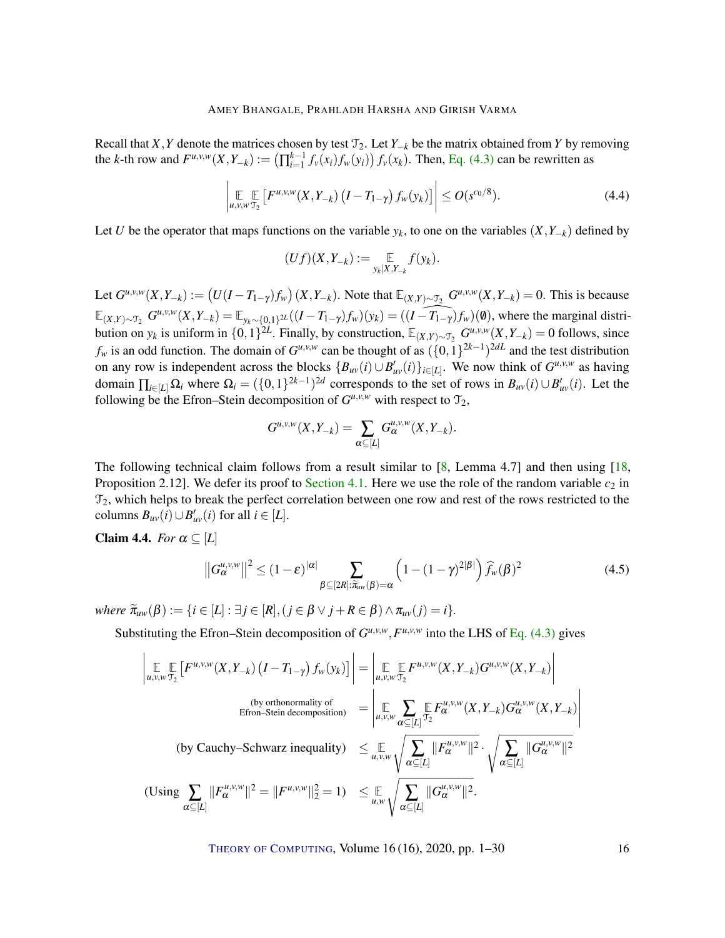<span id="page-15-2"></span>Recall that *X*, *Y* denote the matrices chosen by test  $\mathcal{T}_2$ . Let *Y*<sub>−*k*</sub> be the matrix obtained from *Y* by removing the k-th row and  $F^{u,v,w}(X,Y_{-k}) := (\prod_{i=1}^{k-1} f_v(x_i) f_w(y_i)) f_v(x_k)$ . Then, Eq. [\(4.3\)](#page-14-1) can be rewritten as

$$
\left| \underset{u,v,w \, \mathcal{T}_2}{\mathbb{E}} \left[ F^{u,v,w}(X, Y_{-k}) \left( I - T_{1-\gamma} \right) f_w(y_k) \right] \right| \le O(s^{c_0/8}). \tag{4.4}
$$

Let *U* be the operator that maps functions on the variable  $y_k$ , to one on the variables  $(X, Y_{-k})$  defined by

$$
(Uf)(X,Y_{-k}) := \mathop{\mathbb{E}}_{y_k|X,Y_{-k}} f(y_k).
$$

Let  $G^{u,v,w}(X,Y_{-k}) := (U(I - T_{1-\gamma})f_w)(X,Y_{-k})$ . Note that  $\mathbb{E}_{(X,Y) \sim \mathcal{T}_2} G^{u,v,w}(X,Y_{-k}) = 0$ . This is because  $\mathbb{E}_{(X,Y)\sim \mathcal{T}_2} G^{u,v,w}(X,Y_{-k}) = \mathbb{E}_{y_k\sim \{0,1\}^{2L}}((I-T_{1-\gamma})f_w)(y_k) = ((\widehat{I-T_{1-\gamma}})f_w)(\emptyset)$ , where the marginal distribution on  $y_k$  is uniform in  $\{0,1\}^{2L}$ . Finally, by construction,  $\mathbb{E}_{(X,Y)\sim \mathcal{T}_2}$   $G^{\mu,\nu,\nu}(X,Y_{-k}) = 0$  follows, since  $f_w$  is an odd function. The domain of  $G^{u,v,w}$  can be thought of as  $({0,1})^{2k-1}$ <sup>2*dL*</sup> and the test distribution on any row is independent across the blocks  ${B_{uv}(i) \cup B'_{uv}(i)}_{i \in [L]}$ . We now think of  $G^{u,v,w}$  as having domain  $\prod_{i\in[L]}\Omega_i$  where  $\Omega_i = (\{0,1\}^{2k-1})^{2d}$  corresponds to the set of rows in  $B_{uv}(i) \cup B'_{uv}(i)$ . Let the following be the Efron–Stein decomposition of  $G^{\mu,\nu,\nu}$  with respect to  $\mathcal{T}_2$ ,

$$
G^{u,v,w}(X,Y_{-k})=\sum_{\alpha\subseteq [L]}G_\alpha^{u,v,w}(X,Y_{-k}).
$$

The following technical claim follows from a result similar to [\[8,](#page-26-3) Lemma 4.7] and then using [\[18,](#page-27-4) Proposition 2.12]. We defer its proof to [Section](#page-18-0) [4.1.](#page-18-0) Here we use the role of the random variable  $c_2$  in  $\mathcal{T}_2$ , which helps to break the perfect correlation between one row and rest of the rows restricted to the  $\text{columns } B_{uv}(i) \cup B'_{uv}(i) \text{ for all } i \in [L].$ 

<span id="page-15-1"></span>**Claim 4.4.** *For*  $\alpha \subseteq [L]$ 

<span id="page-15-0"></span>
$$
||G_{\alpha}^{u,v,w}||^2 \le (1-\varepsilon)^{|\alpha|} \sum_{\beta \subseteq [2R]: \widetilde{\pi}_{uw}(\beta) = \alpha} \left(1 - (1-\gamma)^{2|\beta|}\right) \widehat{f}_w(\beta)^2 \tag{4.5}
$$

 $where \ \widetilde{\pi}_{uw}(\beta) := \{i \in [L] : \exists j \in [R], (j \in \beta \vee j + R \in \beta) \wedge \pi_{uv}(j) = i\}.$ 

Substituting the Efron–Stein decomposition of  $G^{u,v,w}, F^{u,v,w}$  into the LHS of Eq. [\(4.3\)](#page-14-1) gives

$$
\left| \underset{u,v,w \uparrow 2}{\mathbb{E}} \left[ F^{u,v,w}(X,Y_{-k}) \left( I - T_{1-\gamma} \right) f_w(y_k) \right] \right| = \left| \underset{u,v,w \uparrow 2}{\mathbb{E}} F^{u,v,w}(X,Y_{-k}) G^{u,v,w}(X,Y_{-k}) \right|
$$
\n(by orthonormality of  
Efrom-Stein decomposition)

\n
$$
= \left| \underset{u,v,w \atop \alpha \subseteq [L]}{\mathbb{E}} \sum_{\alpha \subseteq [L]} \underset{u,v,w}{\mathbb{E}} F^{u,v,w}_{\alpha \subseteq [L]}(X,Y_{-k}) G^{u,v,w}_{\alpha}(X,Y_{-k}) \right|
$$
\n(by Cauchy-Schwarz inequality)

\n
$$
\leq \underset{u,v,w \atop \alpha \subseteq [L]}{\mathbb{E}} \sqrt{\sum_{\alpha \subseteq [L]} \| F^{u,v,w}_{\alpha} \|^{2}} \cdot \sqrt{\sum_{\alpha \subseteq [L]} \| G^{u,v,w}_{\alpha} \|^{2}}
$$
\n(Using

\n
$$
\sum_{\alpha \subseteq [L]} \| F^{u,v,w}_{\alpha} \|^{2} = \| F^{u,v,w} \|^{2} = 1) \leq \underset{u,w \atop \alpha \subseteq [L]}{\mathbb{E}} \sqrt{\sum_{\alpha \subseteq [L]} \| G^{u,v,w}_{\alpha} \|^{2}}.
$$

THEORY OF C[OMPUTING](http://dx.doi.org/10.4086/toc), Volume 16 (16), 2020, pp. 1-30 16

 $\overline{\phantom{a}}$ I  $\overline{\phantom{a}}$ I  $\mid$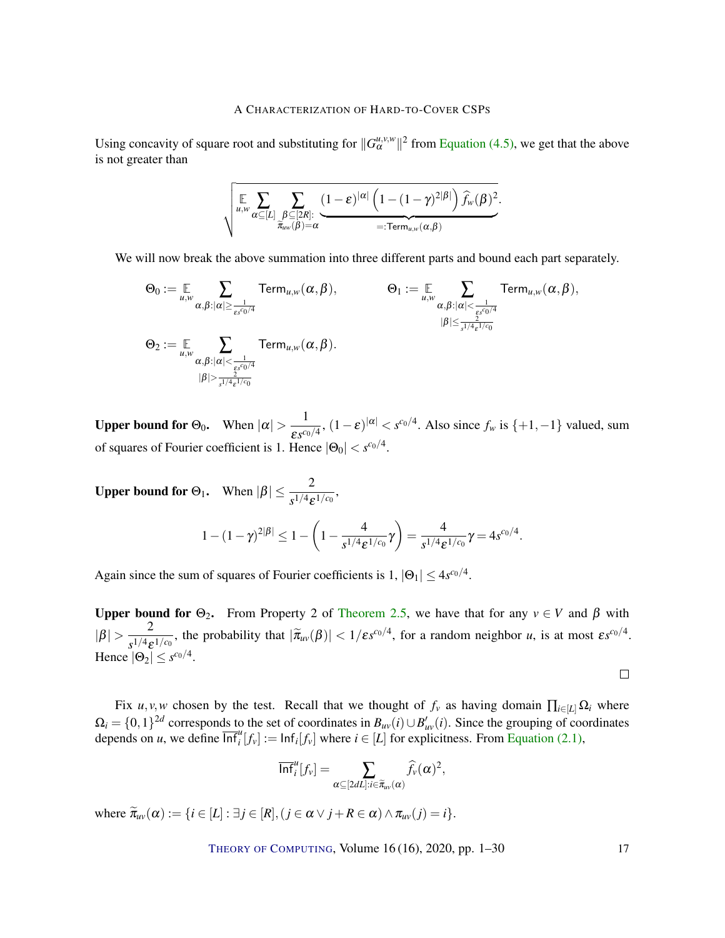Using concavity of square root and substituting for  $||G_\alpha^{\mu,\nu,\psi}||^2$  from [Equation](#page-15-0) [\(4.5\),](#page-15-0) we get that the above is not greater than

$$
\sqrt{\sum_{\substack{\mu,w \\ \widetilde{\pi}_{\mu\nu}(\beta)=\alpha}} \sum_{\substack{\beta \subseteq [2R] \\ \widetilde{\pi}_{\mu\nu}(\beta)=\alpha}} \frac{(1-\varepsilon)^{|\alpha|} \left(1-(1-\gamma)^{2|\beta|}\right) \widehat{f}_w(\beta)^2}{=: \text{Term}_{\mu,\textbf{w}}(\alpha,\beta)} }.
$$

We will now break the above summation into three different parts and bound each part separately.

$$
\Theta_0 := \mathop{\mathbb{E}}_{u,w} \sum_{\alpha,\beta: |\alpha| \geq \frac{1}{\varepsilon s^{c_0/4}}} \text{Term}_{u,w}(\alpha,\beta), \qquad \Theta_1 := \mathop{\mathbb{E}}_{u,w} \sum_{\alpha,\beta: |\alpha| < \frac{1}{\varepsilon s^{c_0/4}}} \text{Term}_{u,w}(\alpha,\beta),
$$
\n
$$
\Theta_2 := \mathop{\mathbb{E}}_{u,w} \sum_{\alpha,\beta: |\alpha| < \frac{1}{\varepsilon s^{c_0/4}}} \text{Term}_{u,w}(\alpha,\beta).
$$
\n
$$
\Theta_2 := \mathop{\mathbb{E}}_{u,w} \sum_{\alpha,\beta: |\alpha| < \frac{1}{\varepsilon s^{c_0/4}}} \text{Term}_{u,w}(\alpha,\beta).
$$

Upper bound for  $\Theta_0$ . When  $|\alpha| > \frac{1}{\alpha}$  $\frac{1}{\mathcal{E} s^{c_0/4}}$ ,  $(1 - \varepsilon)^{|\alpha|} < s^{c_0/4}$ . Also since  $f_w$  is  $\{+1, -1\}$  valued, sum of squares of Fourier coefficient is 1. Hence  $|\Theta_0| < s^{c_0/4}$ .

Upper bound for  $\Theta_1$ . When  $|\beta| \leq \frac{2}{s^{1/4} \varepsilon^{1/c_0}}$ ,

$$
1-(1-\gamma)^{2|\beta|} \leq 1-\left(1-\frac{4}{s^{1/4}\varepsilon^{1/c_0}}\gamma\right) = \frac{4}{s^{1/4}\varepsilon^{1/c_0}}\gamma = 4s^{c_0/4}.
$$

Again since the sum of squares of Fourier coefficients is  $1, |\Theta_1| \leq 4s^{c_0/4}$ .

Upper bound for  $\Theta_2$ . From Property 2 of [Theorem](#page-7-0) [2.5,](#page-7-0) we have that for any  $v \in V$  and  $\beta$  with  $|\beta| > \frac{2}{1/4a}$  $\frac{2}{s^{1/4}\varepsilon^{1/c_0}}$ , the probability that  $|\tilde{\pi}_{uv}(\beta)| < 1/\varepsilon s^{c_0/4}$ , for a random neighbor *u*, is at most  $\varepsilon s^{c_0/4}$ . Hence  $|\Theta_2| \leq s^{c_0/4}$ .

 $\Box$ 

Fix *u*, *v*, *w* chosen by the test. Recall that we thought of  $f_v$  as having domain  $\prod_{i\in[L]} \Omega_i$  where  $\Omega_i = \{0,1\}^{2d}$  corresponds to the set of coordinates in  $B_{uv}(i) \cup B'_{uv}(i)$ . Since the grouping of coordinates depends on *u*, we define  $\overline{\text{Inf}}_i^u[f_v] := \text{Inf}_i[f_v]$  where  $i \in [L]$  for explicitness. From [Equation](#page-8-2) [\(2.1\),](#page-8-2)

$$
\overline{\ln f}_i^u[f_v] = \sum_{\alpha \subseteq [2dL]: i \in \widetilde{\pi}_{uv}(\alpha)} \widehat{f}_v(\alpha)^2,
$$

where  $\widetilde{\pi}_{uv}(\alpha) := \{i \in [L] : \exists j \in [R], (j \in \alpha \vee j + R \in \alpha) \wedge \pi_{uv}(j) = i\}.$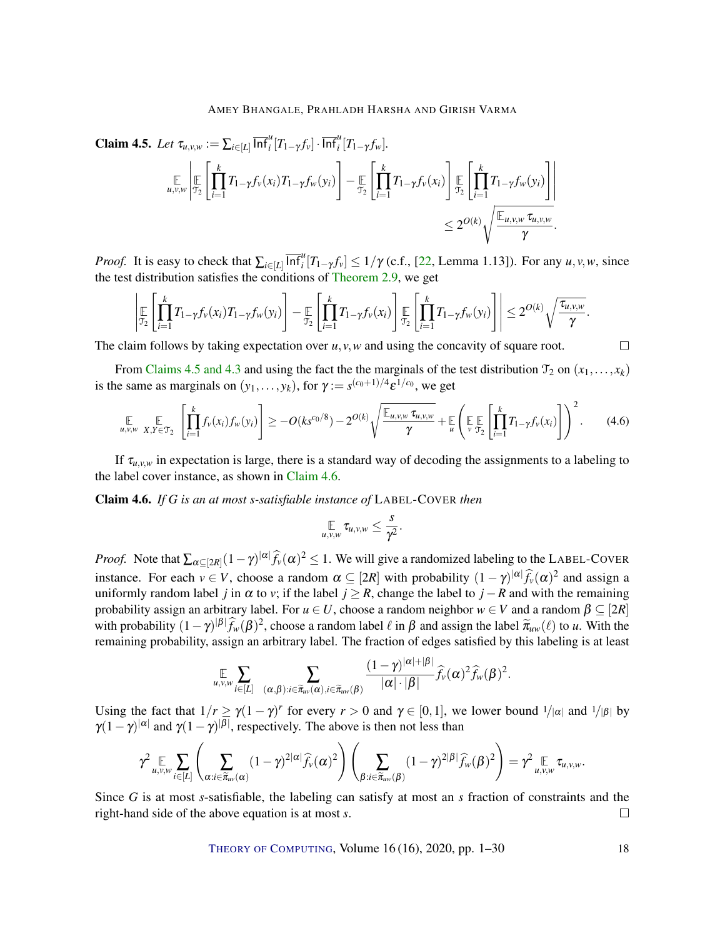<span id="page-17-3"></span><span id="page-17-0"></span>
$$
\begin{split}\n\textbf{Claim 4.5.} \ \textit{Let } \tau_{u,v,w} := \sum_{i \in [L]} \overline{\inf}_{i}^{u} [T_{1-\gamma} f_{v}] \cdot \overline{\inf}_{i}^{u} [T_{1-\gamma} f_{w}]. \\
&\qquad \qquad \underset{u,v,w}{\mathbb{E}} \left[ \prod_{\tau=1}^{k} T_{1-\gamma} f_{v}(x_{i}) T_{1-\gamma} f_{w}(y_{i}) \right] - \underset{\tau_{2}}{\mathbb{E}} \left[ \prod_{i=1}^{k} T_{1-\gamma} f_{v}(x_{i}) \right] \underset{\leq 2^{O(k)}}{\mathbb{E}} \left[ \prod_{i=1}^{k} T_{1-\gamma} f_{w}(y_{i}) \right] \right] \\
&\qquad \leq 2^{O(k)} \sqrt{\frac{\mathbb{E}_{u,v,w} \tau_{u,v,w}}{\gamma}}.\n\end{split}
$$

*Proof.* It is easy to check that  $\sum_{i \in [L]} \overline{\inf_i}^u [T_{1-\gamma} f_v] \leq 1/\gamma$  (c.f., [\[22,](#page-27-3) Lemma 1.13]). For any *u*, *v*, *w*, since the test distribution satisfies the conditions of [Theorem](#page-9-1) [2.9,](#page-9-1) we get

$$
\left|\mathop{\mathbb{E}}_{\mathcal{T}_2}\left[\prod_{i=1}^k T_{1-\gamma}f_v(x_i)T_{1-\gamma}f_w(y_i)\right]-\mathop{\mathbb{E}}_{\mathcal{T}_2}\left[\prod_{i=1}^k T_{1-\gamma}f_v(x_i)\right]\mathop{\mathbb{E}}_{\mathcal{T}_2}\left[\prod_{i=1}^k T_{1-\gamma}f_w(y_i)\right]\right|\leq 2^{O(k)}\sqrt{\frac{\tau_{u,v,w}}{\gamma}}.
$$

The claim follows by taking expectation over  $u$ ,  $v$ ,  $w$  and using the concavity of square root.

From [Claims](#page-17-0) [4.5](#page-17-0) [and](#page-14-0) [4.3](#page-14-0) and using the fact the the marginals of the test distribution  $\mathcal{T}_2$  on  $(x_1,...,x_k)$ is the same as marginals on  $(y_1, \ldots, y_k)$ , for  $\gamma := s^{(c_0+1)/4} \varepsilon^{1/c_0}$ , we get

<span id="page-17-2"></span>
$$
\mathop{\mathbb{E}}_{u,v,w} \mathop{\mathbb{E}}_{X,Y \in \mathfrak{T}_2} \left[ \prod_{i=1}^k f_v(x_i) f_w(y_i) \right] \geq -O(k s^{c_0/8}) - 2^{O(k)} \sqrt{\frac{\mathop{\mathbb{E}}_{u,v,w} \tau_{u,v,w}}{\gamma}} + \mathop{\mathbb{E}}_{u} \left( \mathop{\mathbb{E}}_{v} \mathop{\mathbb{E}}_{\mathfrak{T}_2} \left[ \prod_{i=1}^k T_{1-\gamma} f_v(x_i) \right] \right)^2. \tag{4.6}
$$

If  $\tau_{u,v,w}$  in expectation is large, there is a standard way of decoding the assignments to a labeling to the label cover instance, as shown in [Claim](#page-17-1) [4.6.](#page-17-1)

<span id="page-17-1"></span>Claim 4.6. *If G is an at most s-satisfiable instance of* LABEL-COVER *then*

$$
\mathop{\mathbb{E}}_{u,v,w}\tau_{u,v,w}\leq \frac{s}{\gamma^2}.
$$

*Proof.* Note that  $\sum_{\alpha \subseteq [2R]} (1 - \gamma)^{|\alpha|} \widehat{f}_{\nu}(\alpha)^2 \le 1$ . We will give a randomized labeling to the LABEL-COVER instance. For each  $v \in V$ , choose a random  $\alpha \subseteq [2R]$  with probability  $(1 - \gamma)^{|\alpha|} \hat{f}_v(\alpha)^2$  and assign a uniformly random label *j* in  $\alpha$  to *v*; if the label *j* ≥ *R*, change the label to *j* − *R* and with the remaining probability assign an arbitrary label. For  $u \in U$ , choose a random neighbor  $w \in V$  and a random  $\beta \subseteq [2R]$ with probability  $(1-\gamma)^{|\beta|}\hat{f}_w(\beta)^2$ , choose a random label  $\ell$  in  $\beta$  and assign the label  $\tilde{\pi}_{uw}(\ell)$  to *u*. With the remaining probability, assign an arbitrary label. The fraction of edges satisfied by this labeling is at least

$$
\mathop{\mathbb{E}}_{u,v,w} \sum_{i \in [L]} \sum_{(\alpha,\beta):i \in \widetilde{\pi}_{uv}(\alpha),i \in \widetilde{\pi}_{uv}(\beta)} \frac{(1-\gamma)^{|\alpha|+|\beta|}}{|\alpha| \cdot |\beta|} \widehat{f}_v(\alpha)^2 \widehat{f}_w(\beta)^2
$$

Using the fact that  $1/r \ge \gamma(1-\gamma)^r$  for every  $r > 0$  and  $\gamma \in [0,1]$ , we lower bound  $1/|\alpha|$  and  $1/|\beta|$  by  $\gamma(1-\gamma)^{|\alpha|}$  and  $\gamma(1-\gamma)^{|\beta|}$ , respectively. The above is then not less than

$$
\gamma^2 \underset{u,v,w}{\mathbb{E}} \sum_{i \in [L]} \left( \sum_{\alpha:i \in \widetilde{\pi}_{uv}(\alpha)} (1-\gamma)^{2|\alpha|} \widehat{f}_v(\alpha)^2 \right) \left( \sum_{\beta:i \in \widetilde{\pi}_{uv}(\beta)} (1-\gamma)^{2|\beta|} \widehat{f}_w(\beta)^2 \right) = \gamma^2 \underset{u,v,w}{\mathbb{E}} \tau_{u,v,w}.
$$

Since *G* is at most *s*-satisfiable, the labeling can satisfy at most an *s* fraction of constraints and the right-hand side of the above equation is at most *s*.  $\Box$ 

THEORY OF C[OMPUTING](http://dx.doi.org/10.4086/toc), Volume 16 (16), 2020, pp. 1–30 18

.

 $\Box$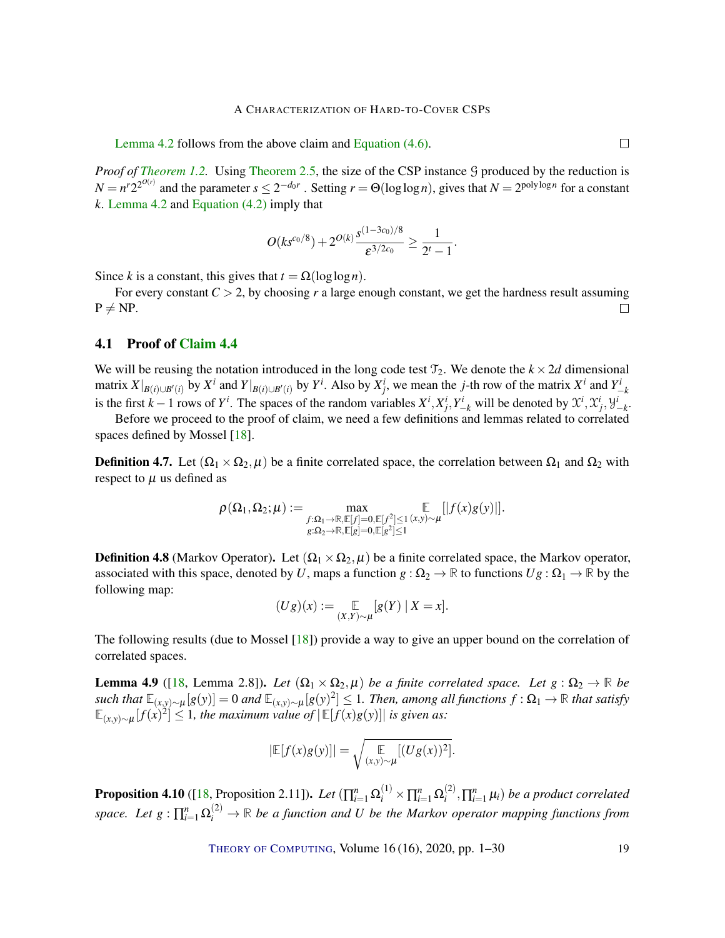<span id="page-18-3"></span>[Lemma](#page-14-2) [4.2](#page-14-2) follows from the above claim and [Equation](#page-17-2) [\(4.6\).](#page-17-2)

*Proof of [Theorem](#page-7-0) [1.2.](#page-2-1)* Using Theorem [2.5,](#page-7-0) the size of the CSP instance G produced by the reduction is  $N = n^r 2^{2^{O(r)}}$  and the parameter  $s \le 2^{-d_0 r}$ . Setting  $r = \Theta(\log \log n)$ , gives that  $N = 2^{\text{poly}\log n}$  for a constant *k*. [Lemma](#page-14-2) [4.2](#page-14-2) and [Equation](#page-14-3) [\(4.2\)](#page-14-3) imply that

$$
O(ks^{c_0/8})+2^{O(k)}\frac{s^{(1-3c_0)/8}}{\varepsilon^{3/2c_0}}\geq \frac{1}{2^t-1}.
$$

Since *k* is a constant, this gives that  $t = \Omega(\log \log n)$ .

For every constant  $C > 2$ , by choosing r a large enough constant, we get the hardness result assuming  $P \neq NP$ .  $\Box$ 

### <span id="page-18-0"></span>4.1 Proof of [Claim](#page-15-1) [4.4](#page-15-1)

We will be reusing the notation introduced in the long code test  $\mathcal{T}_2$ . We denote the  $k \times 2d$  dimensional matrix  $X|_{B(i) \cup B'(i)}$  by  $X^i$  and  $Y|_{B(i) \cup B'(i)}$  by  $Y^i$ . Also by  $X^i_j$ , we mean the j-th row of the matrix  $X^i$  and  $Y^i_{-k}$ is the first  $k-1$  rows of  $Y^i$ . The spaces of the random variables  $X^i, X^i_j, Y^i_{-k}$  will be denoted by  $\mathfrak{X}^i, \mathfrak{X}^i_j, \mathfrak{Y}^i_{-k}$ .

Before we proceed to the proof of claim, we need a few definitions and lemmas related to correlated spaces defined by Mossel [\[18\]](#page-27-4).

**Definition 4.7.** Let  $(\Omega_1 \times \Omega_2, \mu)$  be a finite correlated space, the correlation between  $\Omega_1$  and  $\Omega_2$  with respect to  $\mu$  us defined as

$$
\rho(\Omega_1,\Omega_2;\mu):=\max_{\substack{f:\Omega_1\to\mathbb{R}, \mathbb{E}[f]=0, \mathbb{E}[f^2]\leq 1\ (x,y)\sim \mu}}\mathbb{E}\left[\left|f(x)g(y)\right|\right].\\g:\Omega_2\to\mathbb{R}, \mathbb{E}[g]=0, \mathbb{E}[g^2]\leq 1}
$$

**Definition 4.8** (Markov Operator). Let  $(\Omega_1 \times \Omega_2, \mu)$  be a finite correlated space, the Markov operator, associated with this space, denoted by *U*, maps a function  $g : \Omega_2 \to \mathbb{R}$  to functions  $Ug : \Omega_1 \to \mathbb{R}$  by the following map:

$$
(Ug)(x) := \mathop{\mathbb{E}}_{(X,Y)\sim\mu}[g(Y) \mid X = x].
$$

The following results (due to Mossel [\[18\]](#page-27-4)) provide a way to give an upper bound on the correlation of correlated spaces.

<span id="page-18-2"></span>**Lemma 4.9** ([\[18,](#page-27-4) Lemma 2.8]). *Let*  $(\Omega_1 \times \Omega_2, \mu)$  *be a finite correlated space. Let*  $g : \Omega_2 \to \mathbb{R}$  *be*  $\int \text{ such that } \mathbb{E}_{(x,y)\sim\mu}[g(y)] = 0$  and  $\mathbb{E}_{(x,y)\sim\mu}[g(y)^2] \leq 1$ . Then, among all functions  $f:\Omega_1\to\mathbb{R}$  that satisfy  $\mathbb{E}_{(x,y)\sim\mu}[f(x)^2]$  ≤ 1*, the maximum value of*  $|\mathbb{E}[f(x)g(y)]|$  *is given as:* 

$$
|\mathbb{E}[f(x)g(y)]| = \sqrt{\mathop{\mathbb{E}}_{(x,y)\sim\mu}[(Ug(x))^2]}.
$$

<span id="page-18-1"></span>**Proposition 4.10** ([\[18,](#page-27-4) Proposition 2.11]). *Let*  $(\prod_{i=1}^{n} \Omega_i^{(1)} \times \prod_{i=1}^{n} \Omega_i^{(2)})$  $\sum_{i}^{(2)}$ ,  $\prod_{i=1}^{n}$   $\mu_i$ ) *be a product correlated space.* Let  $g: \prod_{i=1}^n \Omega_i^{(2)} \to \mathbb{R}$  be a function and U be the Markov operator mapping functions from

THEORY OF C[OMPUTING](http://dx.doi.org/10.4086/toc), Volume 16 (16), 2020, pp. 1–30 19

 $\Box$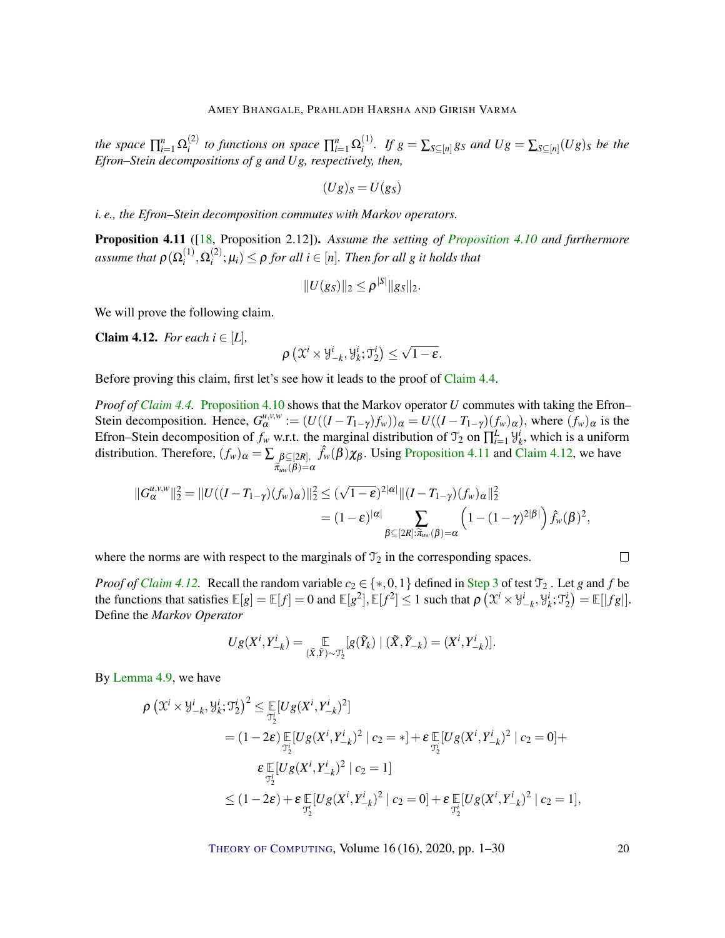<span id="page-19-2"></span>the space  $\prod_{i=1}^{n} \Omega_i^{(2)}$  $\sum_{i}^{(2)}$  to functions on space  $\prod_{i=1}^{n} \Omega_i^{(1)}$  $\sum_{i}$ <sup>(1)</sup>. If  $g = \sum_{S \subseteq [n]} g_S$  and  $Ug = \sum_{S \subseteq [n]} (Ug)_S$  be the *Efron–Stein decompositions of g and Ug, respectively, then,*

$$
(Ug)_S = U(g_S)
$$

*i. e., the Efron–Stein decomposition commutes with Markov operators.*

<span id="page-19-0"></span>Proposition 4.11 ([\[18,](#page-27-4) Proposition 2.12]). *Assume the setting of [Proposition](#page-18-1) [4.10](#page-18-1) and furthermore* assume that  $\rho(\Omega_i^{(1)}$  $\Omega^{(1)}_i, \Omega^{(2)}_i$  $\mathcal{L}_i^{(2)}$ ;  $\mu_i$ )  $\leq \rho$  *for all i*  $\in$  [*n*]*. Then for all g it holds that* 

$$
||U(g_S)||_2 \leq \rho^{|S|} ||g_S||_2.
$$

We will prove the following claim.

<span id="page-19-1"></span>**Claim 4.12.** *For each*  $i \in [L]$ *,* 

$$
\rho\left(\mathfrak{X}^{i} \times \mathcal{Y}_{-k}^{i}, \mathcal{Y}_{k}^{i} ; \mathcal{T}_{2}^{i}\right) \leq \sqrt{1-\varepsilon}.
$$

Before proving this claim, first let's see how it leads to the proof of [Claim](#page-15-1) [4.4.](#page-15-1)

*Proof of [Claim](#page-15-1) [4.4.](#page-15-1)* [Proposition](#page-18-1) [4.10](#page-18-1) shows that the Markov operator *U* commutes with taking the Efron– Stein decomposition. Hence,  $G_{\alpha}^{\mu,\nu,\nu} := (U((I - T_{1-\gamma})f_{\nu}))_{\alpha} = U((I - T_{1-\gamma})(f_{\nu})_{\alpha})$ , where  $(f_{\nu})_{\alpha}$  is the Efron–Stein decomposition of  $f_w$  w.r.t. the marginal distribution of  $\mathcal{T}_2$  on  $\prod_{i=1}^L \mathcal{Y}_k^i$ , which is a uniform distribution. Therefore,  $(f_w)_\alpha = \sum \beta \subseteq [2R]$ ,  $\widetilde{\pi}_{uw}(\beta) = \alpha$  $\hat{f}_w(\beta)\chi_\beta$ . Using [Proposition](#page-19-0) [4.11](#page-19-0) and [Claim](#page-19-1) [4.12,](#page-19-1) we have

$$
||G_{\alpha}^{u,v,w}||_2^2 = ||U((I - T_{1-\gamma})(f_w)_{\alpha})||_2^2 \leq (\sqrt{1-\varepsilon})^{2|\alpha|} ||(I - T_{1-\gamma})(f_w)_{\alpha}||_2^2
$$
  

$$
= (1-\varepsilon)^{|\alpha|} \sum_{\beta \subseteq [2R]: \tilde{\pi}_{uw}(\beta) = \alpha} \left(1 - (1-\gamma)^{2|\beta|}\right) \hat{f}_w(\beta)^2,
$$

where the norms are with respect to the marginals of  $\mathcal{T}_2$  in the corresponding spaces.

*Proof of [Claim](#page-19-1) [4.12.](#page-19-1)* Recall the random variable  $c_2 \in \{*,0,1\}$  defined in [Step](#page-13-2) [3](#page-13-2) of test  $\mathcal{T}_2$ . Let *g* and *f* be the functions that satisfies  $\mathbb{E}[g] = \mathbb{E}[f] = 0$  and  $\mathbb{E}[g^2], \mathbb{E}[f^2] \le 1$  such that  $\rho\left(\mathfrak{X}^i \times \mathfrak{Y}_{-k}^i, \mathfrak{Y}_{k}^i; \mathfrak{Y}_{2}^i\right) = \mathbb{E}[|fg|].$ Define the *Markov Operator*

$$
Ug(X^i,Y_{-k}^i)=\underset{(\tilde{X},\tilde{Y})\sim \mathcal{T}_2^i}{\mathbb{E}}[g(\tilde{Y}_k)\mid (\tilde{X},\tilde{Y}_{-k})=(X^i,Y_{-k}^i)].
$$

By [Lemma](#page-18-2) [4.9,](#page-18-2) we have

$$
\rho \left( \mathfrak{X}^{i} \times \mathfrak{Y}^{i}_{-k}, \mathfrak{Y}^{i}_{k}; \mathfrak{Y}^{i}_{2} \right)^{2} \leq \mathbb{E} \left[ U g(X^{i}, Y^{i}_{-k})^{2} \right]
$$
\n
$$
= (1 - 2\varepsilon) \mathbb{E} \left[ U g(X^{i}, Y^{i}_{-k})^{2} \mid c_{2} = * \right] + \varepsilon \mathbb{E} \left[ U g(X^{i}, Y^{i}_{-k})^{2} \mid c_{2} = 0 \right] + \varepsilon \mathbb{E} \left[ U g(X^{i}, Y^{i}_{-k})^{2} \mid c_{2} = 1 \right]
$$
\n
$$
\leq (1 - 2\varepsilon) + \varepsilon \mathbb{E} \left[ U g(X^{i}, Y^{i}_{-k})^{2} \mid c_{2} = 0 \right] + \varepsilon \mathbb{E} \left[ U g(X^{i}, Y^{i}_{-k})^{2} \mid c_{2} = 1 \right],
$$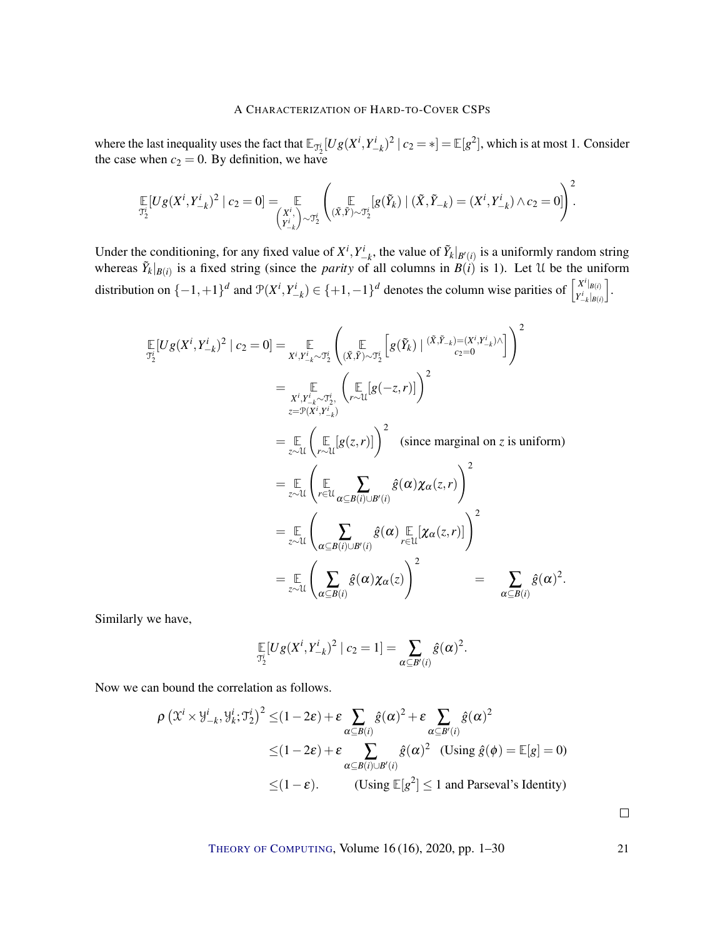where the last inequality uses the fact that  $\mathbb{E}_{\mathcal{T}_2^i}[Ug(X^i, Y_{-k}^i)^2 | c_2 = *] = \mathbb{E}[g^2]$ , which is at most 1. Consider the case when  $c_2 = 0$ . By definition, we have

$$
\mathop{\mathbb{E}}_{\mathfrak{I}^i_2}[Ug(X^i,Y^i_{-k})^2 \mid c_2 = 0] = \mathop{\mathbb{E}}_{\left(X^i_{-k}\right) \sim \mathfrak{I}^i_2} \left( \mathop{\mathbb{E}}_{\left(X,\tilde{Y}\right) \sim \mathfrak{I}^i_2} [g(\tilde{Y}_k) \mid (\tilde{X},\tilde{Y}_{-k}) = (X^i,Y^i_{-k}) \wedge c_2 = 0] \right)^2.
$$

Under the conditioning, for any fixed value of  $X^i, Y^i_{-k}$ , the value of  $\tilde{Y}_k|_{B'(i)}$  is a uniformly random string whereas  $\tilde{Y}_k|_{B(i)}$  is a fixed string (since the *parity* of all columns in  $B(i)$  is 1). Let U be the uniform distribution on  $\{-1,+1\}^d$  and  $\mathcal{P}(X^i,Y_{-k}^i) \in \{+1,-1\}^d$  denotes the column wise parities of  $\begin{bmatrix} X^i|_{B(i)} \\ Y^i|_{B(i)} \end{bmatrix}$  $Y^i_{-k}$ <sub>*|B*(*i*)</sub> i .

$$
\mathbb{E}[Ug(X^{i}, Y_{-k}^{i})^{2} | c_{2} = 0] = \mathbb{E}_{X^{i}, Y_{-k}^{i} \sim \mathcal{T}_{2}^{i}} \left( \mathbb{E}_{(\tilde{X}, \tilde{Y}) \sim \mathcal{T}_{2}^{i}} \left[ g(\tilde{Y}_{k}) | (\tilde{X}, \tilde{Y}_{-k}) = (X^{i}, Y_{-k}^{i}) \wedge \right] \right)^{2}
$$
\n
$$
= \mathbb{E}_{X^{i}, Y_{-k}^{i} \sim \mathcal{T}_{2}^{i}} \left( \mathbb{E}_{(\tilde{X}, \tilde{Y}) \sim \mathcal{T}_{2}^{i}} \left[ g(-z, r) \right] \right)^{2}
$$
\n
$$
= \mathbb{E}_{z \sim \mathcal{U}} \left( \mathbb{E}_{\tau \sim \mathcal{U}} [g(z, r)] \right)^{2} \quad \text{(since marginal on z is uniform)}
$$
\n
$$
= \mathbb{E}_{z \sim \mathcal{U}} \left( \mathbb{E}_{\tau \in \mathcal{U}} \sum_{\alpha \subseteq B(i) \cup B'(i)} \hat{g}(\alpha) \chi_{\alpha}(z, r) \right)^{2}
$$
\n
$$
= \mathbb{E}_{z \sim \mathcal{U}} \left( \sum_{\alpha \subseteq B(i) \cup B'(i)} \hat{g}(\alpha) \mathbb{E}_{\tau \in \mathcal{U}} [\chi_{\alpha}(z, r)] \right)^{2}
$$
\n
$$
= \mathbb{E}_{z \sim \mathcal{U}} \left( \sum_{\alpha \subseteq B(i)} \hat{g}(\alpha) \chi_{\alpha}(z) \right)^{2} = \sum_{\alpha \subseteq B(i)} \hat{g}(\alpha)^{2}.
$$

Similarly we have,

$$
\mathop{\mathbb{E}}_{\mathcal{I}_2^i}[Ug(X^i,Y_{-k}^i)^2 \mid c_2 = 1] = \sum_{\alpha \subseteq B'(i)} \hat{g}(\alpha)^2.
$$

Now we can bound the correlation as follows.

$$
\rho \left( \mathfrak{X}^{i} \times \mathfrak{Y}_{-k}^{i}, \mathfrak{Y}_{k}^{i}; \mathfrak{T}_{2}^{i} \right)^{2} \leq (1 - 2\varepsilon) + \varepsilon \sum_{\alpha \subseteq B(i)} \hat{g}(\alpha)^{2} + \varepsilon \sum_{\alpha \subseteq B'(i)} \hat{g}(\alpha)^{2}
$$
  

$$
\leq (1 - 2\varepsilon) + \varepsilon \sum_{\alpha \subseteq B(i) \cup B'(i)} \hat{g}(\alpha)^{2} \text{ (Using } \hat{g}(\phi) = \mathbb{E}[g] = 0)
$$
  

$$
\leq (1 - \varepsilon). \qquad \text{ (Using } \mathbb{E}[g^{2}] \leq 1 \text{ and Parseval's Identity)}
$$

THEORY OF C[OMPUTING](http://dx.doi.org/10.4086/toc), Volume 16 (16), 2020, pp. 1–30 21

 $\Box$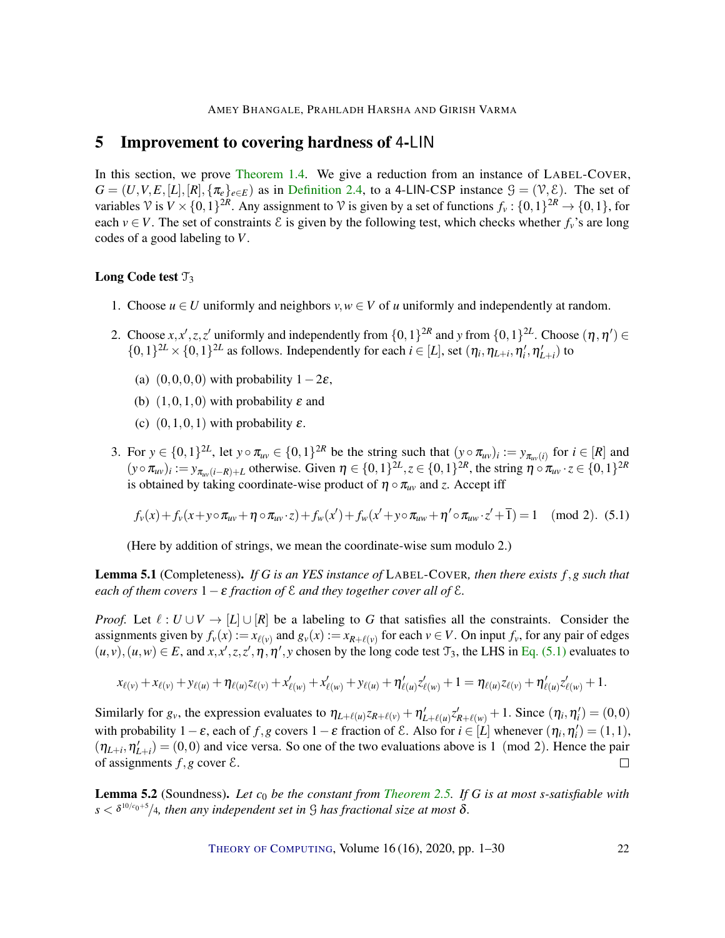# <span id="page-21-0"></span>5 Improvement to covering hardness of 4-LIN

In this section, we prove [Theorem](#page-3-0) [1.4.](#page-3-0) We give a reduction from an instance of LABEL-COVER,  $G = (U, V, E, [L], [R], \{ \pi_e \}_{e \in E}$  as in [Definition](#page-7-1) [2.4,](#page-7-1) to a 4-LIN-CSP instance  $\mathcal{G} = (\mathcal{V}, \mathcal{E})$ . The set of variables  $\mathcal{V}$  is  $V \times \{0,1\}^{2R}$ . Any assignment to  $\mathcal{V}$  is given by a set of functions  $f_v : \{0,1\}^{2R} \to \{0,1\}$ , for each  $v \in V$ . The set of constraints  $\mathcal E$  is given by the following test, which checks whether  $f_v$ 's are long codes of a good labeling to *V*.

### Long Code test  $\mathcal{T}_3$

- 1. Choose  $u \in U$  uniformly and neighbors  $v, w \in V$  of *u* uniformly and independently at random.
- 2. Choose  $x, x', z, z'$  uniformly and independently from  $\{0, 1\}^{2R}$  and *y* from  $\{0, 1\}^{2L}$ . Choose  $(\eta, \eta') \in$  $\{0,1\}^{2L} \times \{0,1\}^{2L}$  as follows. Independently for each  $i \in [L]$ , set  $(\eta_i, \eta_{L+i}, \eta'_i, \eta'_{L+i})$  to
	- (a)  $(0,0,0,0)$  with probability  $1-2\varepsilon$ ,
	- (b)  $(1,0,1,0)$  with probability  $\varepsilon$  and
	- (c)  $(0,1,0,1)$  with probability  $\varepsilon$ .
- 3. For  $y \in \{0,1\}^{2L}$ , let  $y \circ \pi_{uv} \in \{0,1\}^{2R}$  be the string such that  $(y \circ \pi_{uv})_i := y_{\pi_{uv}(i)}$  for  $i \in [R]$  and  $(y \circ \pi_{uv})_i := y_{\pi_{uv}(i-R)+L}$  otherwise. Given  $\eta \in \{0,1\}^{2L}, z \in \{0,1\}^{2R}$ , the string  $\eta \circ \pi_{uv} \cdot z \in \{0,1\}^{2R}$ is obtained by taking coordinate-wise product of  $\eta \circ \pi_{uv}$  and *z*. Accept iff

<span id="page-21-1"></span>
$$
f_{\nu}(x) + f_{\nu}(x + y \circ \pi_{uv} + \eta \circ \pi_{uv} \cdot z) + f_{\nu}(x') + f_{\nu}(x' + y \circ \pi_{uw} + \eta' \circ \pi_{uw} \cdot z' + 1) = 1 \pmod{2}.
$$
 (5.1)

(Here by addition of strings, we mean the coordinate-wise sum modulo 2.)

Lemma 5.1 (Completeness). *If G is an YES instance of* LABEL-COVER*, then there exists f*,*g such that each of them covers* 1−ε *fraction of* E *and they together cover all of* E*.*

*Proof.* Let  $\ell : U \cup V \rightarrow [L] \cup [R]$  be a labeling to *G* that satisfies all the constraints. Consider the assignments given by  $f_v(x) := x_{\ell(v)}$  and  $g_v(x) := x_{R+\ell(v)}$  for each  $v \in V$ . On input  $f_v$ , for any pair of edges  $(u, v), (u, w) \in E$ , and  $x, x', z, z', \eta, \eta', y$  chosen by the long code test  $\mathcal{T}_3$ , the LHS in Eq. [\(5.1\)](#page-21-1) evaluates to

$$
x_{\ell(v)} + x_{\ell(v)} + y_{\ell(u)} + \eta_{\ell(u)} z_{\ell(v)} + x'_{\ell(w)} + x'_{\ell(w)} + y_{\ell(u)} + \eta'_{\ell(u)} z'_{\ell(w)} + 1 = \eta_{\ell(u)} z_{\ell(v)} + \eta'_{\ell(u)} z'_{\ell(w)} + 1.
$$

Similarly for  $g_v$ , the expression evaluates to  $\eta_{L+\ell(u)} z_{R+\ell(v)} + \eta'_{L+\ell(u)} z'_{R+\ell(w)} + 1$ . Since  $(\eta_i, \eta'_i) = (0,0)$ with probability  $1 - \varepsilon$ , each of *f*,*g* covers  $1 - \varepsilon$  fraction of  $\mathcal{E}$ . Also for  $i \in [L]$  whenever  $(\eta_i, \eta'_i) = (1, 1)$ ,  $(\eta_{L+i}, \eta'_{L+i}) = (0,0)$  and vice versa. So one of the two evaluations above is 1 (mod 2). Hence the pair of assignments  $f$ , g cover  $\mathcal{E}$ .  $\Box$ 

Lemma 5.2 (Soundness). *Let c*<sup>0</sup> *be the constant from [Theorem](#page-7-0) [2.5.](#page-7-0) If G is at most s-satisfiable with s* < δ 10/*c*0+5 /4*, then any independent set in* G *has fractional size at most* δ*.*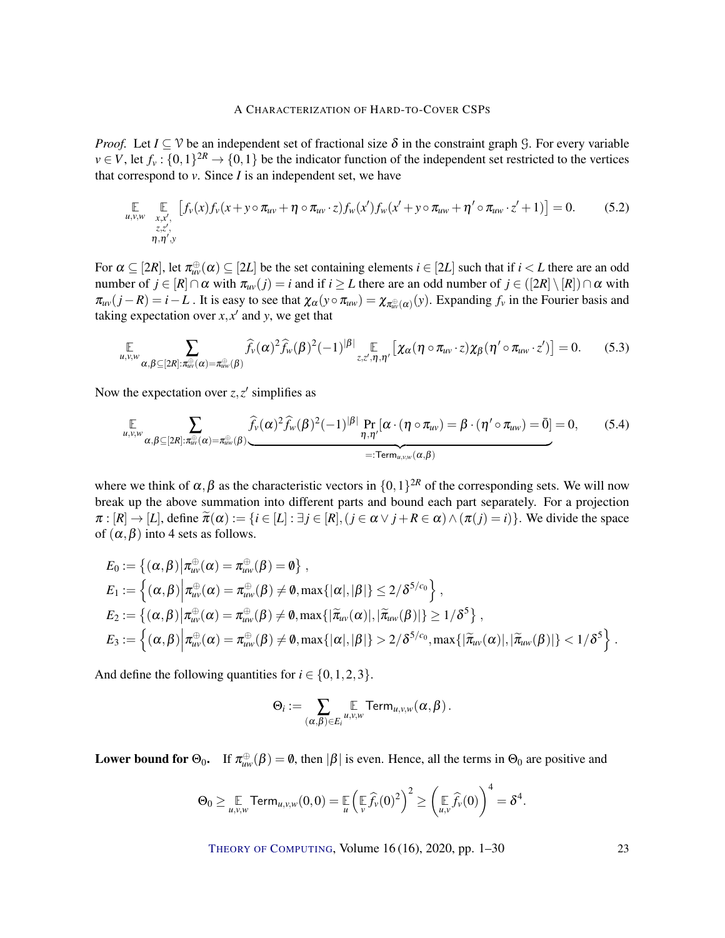*Proof.* Let  $I \subseteq V$  be an independent set of fractional size  $\delta$  in the constraint graph  $\mathcal{G}$ . For every variable  $v \in V$ , let  $f_v : \{0,1\}^{2R} \to \{0,1\}$  be the indicator function of the independent set restricted to the vertices that correspond to  $v$ . Since  $I$  is an independent set, we have

$$
\mathbb{E}_{\substack{u,v,w \ x,x', \\ z,z', \\ \eta,\eta',y}} \left[ f_v(x) f_v(x + y \circ \pi_{uv} + \eta \circ \pi_{uv} \cdot z) f_w(x') f_w(x' + y \circ \pi_{uw} + \eta' \circ \pi_{uw} \cdot z' + 1) \right] = 0. \tag{5.2}
$$

For  $\alpha \subseteq [2R]$ , let  $\pi_{uv}^{\oplus}(\alpha) \subseteq [2L]$  be the set containing elements  $i \in [2L]$  such that if  $i < L$  there are an odd number of  $j \in [R] \cap \alpha$  with  $\pi_{uv}(j) = i$  and if  $i \ge L$  there are an odd number of  $j \in ([2R] \setminus [R]) \cap \alpha$  with  $\pi_{uv}(j-R) = i - L$ . It is easy to see that  $\chi_{\alpha}(y \circ \pi_{uw}) = \chi_{\pi_{uv}^{(0)}}(y)$ . Expanding  $f_v$  in the Fourier basis and taking expectation over  $x$ ,  $x'$  and  $y$ , we get that

$$
\mathop{\mathbb{E}}_{u,v,w} \sum_{\alpha,\beta \subseteq [2R]:\pi_{uv}^{\oplus}(\alpha) = \pi_{uv}^{\oplus}(\beta)} \widehat{f}_v(\alpha)^2 \widehat{f}_w(\beta)^2 (-1)^{|\beta|} \mathop{\mathbb{E}}_{z,z',\eta,\eta'} \left[ \chi_\alpha(\eta \circ \pi_{uv} \cdot z) \chi_\beta(\eta' \circ \pi_{uw} \cdot z') \right] = 0. \tag{5.3}
$$

Now the expectation over  $z, z'$  simplifies as

<span id="page-22-0"></span>**E** *<sup>u</sup>*,*v*,*<sup>w</sup>* ∑ α,β⊆[2*R*]:π ⊕ *uv*(α)=π ⊕ *uw*(β) *<sup>f</sup>*b*v*(α) 2 *<sup>f</sup>*b*w*(β) 2 (−1) <sup>|</sup>β<sup>|</sup> Pr η,η<sup>0</sup> [α ·(η ◦ π*uv*) = β ·(η 0 ◦ π*uw*) = 0¯] | {z } =:Term*u*,*v*,*w*(α,β) = 0, (5.4)

where we think of  $\alpha, \beta$  as the characteristic vectors in  $\{0,1\}^{2R}$  of the corresponding sets. We will now break up the above summation into different parts and bound each part separately. For a projection  $\pi : [R] \to [L]$ , define  $\widetilde{\pi}(\alpha) := \{i \in [L] : \exists j \in [R], (j \in \alpha \vee j + R \in \alpha) \wedge (\pi(j) = i)\}\.$  We divide the space of  $(\alpha, \beta)$  into 4 sets as follows.

$$
E_0 := \left\{ (\alpha, \beta) \middle| \pi_{uv}^{\oplus}(\alpha) = \pi_{uw}^{\oplus}(\beta) = \emptyset \right\},
$$
  
\n
$$
E_1 := \left\{ (\alpha, \beta) \middle| \pi_{uv}^{\oplus}(\alpha) = \pi_{uw}^{\oplus}(\beta) \neq \emptyset, \max\{|\alpha|, |\beta|\} \leq 2/\delta^{5/c_0} \right\},
$$
  
\n
$$
E_2 := \left\{ (\alpha, \beta) \middle| \pi_{uv}^{\oplus}(\alpha) = \pi_{uw}^{\oplus}(\beta) \neq \emptyset, \max\{|\tilde{\pi}_{uv}(\alpha)|, |\tilde{\pi}_{uw}(\beta)|\} \geq 1/\delta^5 \right\},
$$
  
\n
$$
E_3 := \left\{ (\alpha, \beta) \middle| \pi_{uv}^{\oplus}(\alpha) = \pi_{uw}^{\oplus}(\beta) \neq \emptyset, \max\{|\alpha|, |\beta|\} > 2/\delta^{5/c_0}, \max\{|\tilde{\pi}_{uv}(\alpha)|, |\tilde{\pi}_{uw}(\beta)|\} < 1/\delta^5 \right\}.
$$

And define the following quantities for  $i \in \{0, 1, 2, 3\}$ .

$$
\Theta_i := \sum_{(\alpha,\beta) \in E_i} \mathbb{E}_{u,v,w} \text{Term}_{u,v,w}(\alpha,\beta).
$$

**Lower bound for**  $\Theta_0$ . If  $\pi_{uw}^{\oplus}(\beta) = \emptyset$ , then  $|\beta|$  is even. Hence, all the terms in  $\Theta_0$  are positive and

$$
\Theta_0 \geq \underset{u,v,w}{\mathbb{E}} \text{Term}_{u,v,w}(0,0) = \underset{u}{\mathbb{E}} \left( \underset{v}{\mathbb{E}} \widehat{f}_v(0)^2 \right)^2 \geq \left( \underset{u,v}{\mathbb{E}} \widehat{f}_v(0) \right)^4 = \delta^4.
$$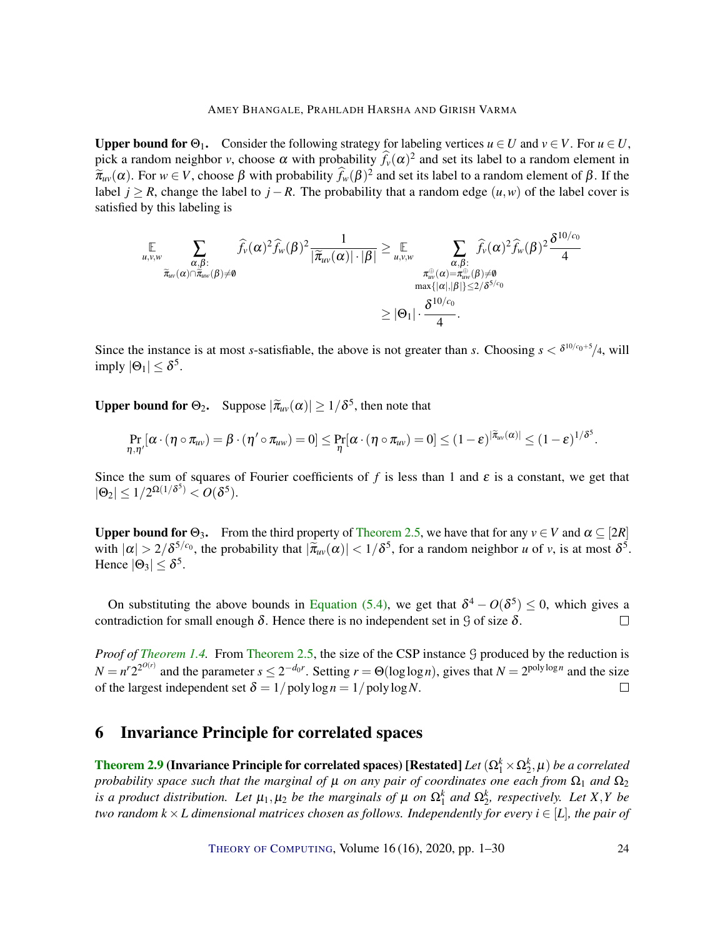Upper bound for  $\Theta_1$ . Consider the following strategy for labeling vertices  $u \in U$  and  $v \in V$ . For  $u \in U$ , pick a random neighbor *v*, choose  $\alpha$  with probability  $\hat{f}_v(\alpha)^2$  and set its label to a random element in  $\widetilde{\pi}_{uv}(\alpha)$ . For  $w \in V$ , choose  $\beta$  with probability  $\widehat{f}_w(\beta)^2$  and set its label to a random element of  $\beta$ . If the label *j* ≥ *R*, change the label to *j* − *R*. The probability that a random edge  $(u, w)$  of the label cover is satisfied by this labeling is

$$
\mathop{\mathbb{E}}_{\widetilde{\pi}_{uv}(\alpha)\cap\widetilde{\pi}_{uv}(\beta)\neq\emptyset}\frac{\displaystyle\sum_{\alpha,\beta:\atop{\widetilde{\pi}_{uv}(\alpha)\cap\widetilde{\pi}_{uv}(\beta)\neq\emptyset}}\widehat{f}_{v}(\alpha)^{2}\widehat{f}_{w}(\beta)^{2}}{\displaystyle|\widetilde{\pi}_{uv}(\alpha)|\cdot|\beta|}\geq \mathop{\mathbb{E}}_{u,v,w}\sum_{\substack{\alpha,\beta:\atop{\pi_{uv}(\alpha)=\pi_{uv}^{\oplus}(\beta)\neq\emptyset}\\ \max\{|\alpha|,|\beta|\}\leq 2/\delta^{5/c_{0}}}}\frac{\displaystyle\sum_{\alpha,\beta:\atop{\pi_{uv}(\alpha)=\pi_{uv}^{\oplus}(\beta)\neq\emptyset}}\widehat{f}_{v}(\alpha)^{2}\widehat{f}_{w}(\beta)^{2}\frac{\delta^{10/c_{0}}}{4}}{\displaystyle\sum_{\alpha,\beta:\atop{\widetilde{\pi}_{uv}(\alpha)=\pi_{uv}^{\oplus}(\beta)\neq\emptyset}}\frac{\delta^{10/c_{0}}}{4}}\leq |\Theta_{1}|\cdot\frac{\delta^{10/c_{0}}}{4}.
$$

Since the instance is at most *s*-satisfiable, the above is not greater than *s*. Choosing  $s < \delta^{10/c_0+5}/4$ , will imply  $|\Theta_1| \leq \delta^5$ .

**Upper bound for**  $\Theta_2$ **.** Suppose  $|\tilde{\pi}_{uv}(\alpha)| \ge 1/\delta^5$ , then note that

$$
\Pr_{\eta,\eta'}[\alpha\cdot(\eta\circ\pi_{uv})=\beta\cdot(\eta'\circ\pi_{uw})=0]\leq \Pr_{\eta}[\alpha\cdot(\eta\circ\pi_{uv})=0]\leq (1-\epsilon)^{|\tilde{\pi}_{uv}(\alpha)|}\leq (1-\epsilon)^{1/\delta^5}.
$$

Since the sum of squares of Fourier coefficients of f is less than 1 and  $\varepsilon$  is a constant, we get that  $|\Theta_2| \leq 1/2^{\Omega(1/\delta^5)} < O(\delta^5).$ 

Upper bound for  $\Theta_3$ . From the third property of [Theorem](#page-7-0) [2.5,](#page-7-0) we have that for any  $v \in V$  and  $\alpha \subseteq [2R]$ with  $|\alpha| > 2/\delta^{5/c_0}$ , the probability that  $|\tilde{\pi}_{uv}(\alpha)| < 1/\delta^5$ , for a random neighbor *u* of *v*, is at most  $\delta^5$ . Hence  $|\Theta_3| \leq \delta^5$ .

On substituting the above bounds in [Equation](#page-22-0) [\(5.4\),](#page-22-0) we get that  $\delta^4 - O(\delta^5) \leq 0$ , which gives a contradiction for small enough  $\delta$ . Hence there is no independent set in  $\mathcal G$  of size  $\delta$ .  $\Box$ 

*Proof of [Theorem](#page-3-0) [1.4.](#page-3-0)* From [Theorem](#page-7-0) [2.5,](#page-7-0) the size of the CSP instance G produced by the reduction is  $N = n^r 2^{2^{O(r)}}$  and the parameter  $s \le 2^{-d_0 r}$ . Setting  $r = \Theta(\log \log n)$ , gives that  $N = 2^{\text{poly}\log n}$  and the size of the largest independent set  $\delta = 1/polylog n = 1/polylog N$ .  $\Box$ 

# <span id="page-23-0"></span>6 Invariance Principle for correlated spaces

[Theorem](#page-9-1) [2.9](#page-9-1) (Invariance Principle for correlated spaces) [Restated]  $Let$   $(\Omega_1^k\times\Omega_2^k,\mu)$  *be a correlated probability space such that the marginal of*  $\mu$  *on any pair of coordinates one each from*  $\Omega_1$  *and*  $\Omega_2$ *is a product distribution. Let*  $\mu_1, \mu_2$  *be the marginals of*  $\mu$  *on*  $\Omega_1^k$  *and*  $\Omega_2^k$ *, respectively. Let*  $X, Y$  *be two random*  $k \times L$  *dimensional matrices chosen as follows. Independently for every*  $i \in [L]$ *, the pair of*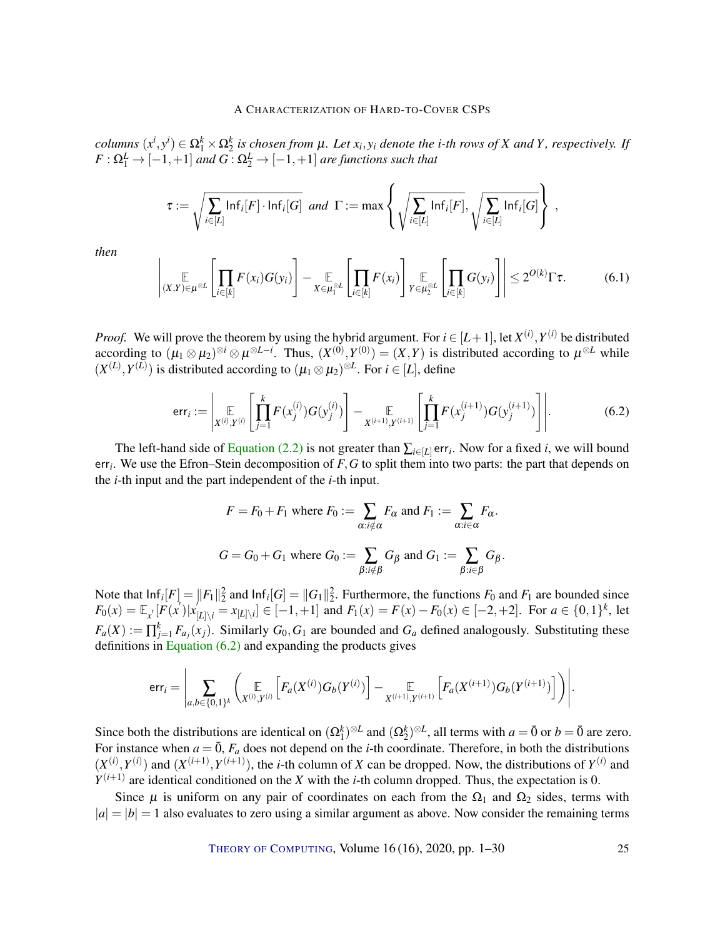columns  $(x^i, y^i) \in \Omega_1^k \times \Omega_2^k$  is chosen from  $\mu$ . Let  $x_i, y_i$  denote the i-th rows of X and Y, respectively. If  $F:\Omega_{1}^{L}\rightarrow [-1,+1]$  and  $G:\Omega_{2}^{L}\rightarrow [-1,+1]$  are functions such that

$$
\tau := \sqrt{\sum_{i \in [L]} \mathsf{Inf}_i[F] \cdot \mathsf{Inf}_i[G]} \ \ and \ \ \Gamma := \max \left\{ \sqrt{\sum_{i \in [L]} \mathsf{Inf}_i[F]}, \sqrt{\sum_{i \in [L]} \mathsf{Inf}_i[G]} \right\} \ ,
$$

*then*

$$
\left|\underset{(X,Y)\in\mu^{\otimes L}}{\mathbb{E}}\left[\underset{i\in[k]}{\prod}F(x_i)G(y_i)\right]-\underset{X\in\mu_1^{\otimes L}}{\mathbb{E}}\left[\underset{i\in[k]}{\prod}F(x_i)\right]_{Y\in\mu_2^{\otimes L}}\left[\underset{i\in[k]}{\prod}G(y_i)\right]\right|\leq 2^{O(k)}\Gamma\tau. \tag{6.1}
$$

*Proof.* We will prove the theorem by using the hybrid argument. For  $i \in [L+1]$ , let  $X^{(i)}$ ,  $Y^{(i)}$  be distributed according to  $(\mu_1 \otimes \mu_2)^{\otimes i} \otimes \mu^{\otimes L-i}$ . Thus,  $(X^{(0)}, Y^{(0)}) = (X, Y)$  is distributed according to  $\mu^{\otimes L}$  while  $(X^{(L)}, Y^{(L)})$  is distributed according to  $(\mu_1 \otimes \mu_2)^{\otimes L}$ . For  $i \in [L]$ , define

<span id="page-24-0"></span>
$$
\text{err}_{i} := \left| \mathop{\mathbb{E}}_{X^{(i)}, Y^{(i)}} \left[ \prod_{j=1}^{k} F(x_j^{(i)}) G(y_j^{(i)}) \right] - \mathop{\mathbb{E}}_{X^{(i+1)}, Y^{(i+1)}} \left[ \prod_{j=1}^{k} F(x_j^{(i+1)}) G(y_j^{(i+1)}) \right] \right|.
$$
 (6.2)

The left-hand side of [Equation](#page-9-3) [\(2.2\)](#page-9-3) is not greater than  $\sum_{i\in[L]}$  err<sub>i</sub>. Now for a fixed *i*, we will bound err*<sup>i</sup>* . We use the Efron–Stein decomposition of *F*,*G* to split them into two parts: the part that depends on the *i*-th input and the part independent of the *i*-th input.

$$
F = F_0 + F_1 \text{ where } F_0 := \sum_{\alpha : i \notin \alpha} F_\alpha \text{ and } F_1 := \sum_{\alpha : i \in \alpha} F_\alpha.
$$
  

$$
G = G_0 + G_1 \text{ where } G_0 := \sum_{\beta : i \notin \beta} G_\beta \text{ and } G_1 := \sum_{\beta : i \in \beta} G_\beta.
$$

Note that  $\text{Inf}_i[F] = ||F_1||_2^2$  and  $\text{Inf}_i[G] = ||G_1||_2^2$ . Furthermore, the functions  $F_0$  and  $F_1$  are bounded since  $F_0(x) = \mathbb{E}_{x'}[F(x')]x_{[L] \setminus i} = x_{[L] \setminus i} \in [-1, +1]$  and  $F_1(x) = F(x) - F_0(x) \in [-2, +2]$ . For  $a \in \{0, 1\}^k$ , let  $F_a(X) := \prod_{j=1}^k F_{a_j}(x_j)$ . Similarly  $G_0, G_1$  are bounded and  $G_a$  defined analogously. Substituting these definitions in [Equation](#page-24-0) [\(6.2\)](#page-24-0) and expanding the products gives

$$
\textsf{err}_{i} = \Bigg| \sum_{a,b \in \{0,1\}^{k}} \Bigg( \underset{X^{(i)},Y^{(i)}}{\mathbb{E}} \Big[F_{a}(X^{(i)}) G_{b}(Y^{(i)}) \Big] - \underset{X^{(i+1)},Y^{(i+1)}}{\mathbb{E}} \Big[F_{a}(X^{(i+1)}) G_{b}(Y^{(i+1)}) \Big] \Bigg) \Bigg|.
$$

Since both the distributions are identical on  $(\Omega_1^k)^{\otimes L}$  and  $(\Omega_2^k)^{\otimes L}$ , all terms with  $a = \overline{0}$  or  $b = \overline{0}$  are zero. For instance when  $a = \overline{0}$ ,  $F_a$  does not depend on the *i*-th coordinate. Therefore, in both the distributions  $(X^{(i)}, Y^{(i)})$  and  $(X^{(i+1)}, Y^{(i+1)})$ , the *i*-th column of *X* can be dropped. Now, the distributions of  $Y^{(i)}$  and  $Y^{(i+1)}$  are identical conditioned on the *X* with the *i*-th column dropped. Thus, the expectation is 0.

Since  $\mu$  is uniform on any pair of coordinates on each from the  $\Omega_1$  and  $\Omega_2$  sides, terms with  $|a| = |b| = 1$  also evaluates to zero using a similar argument as above. Now consider the remaining terms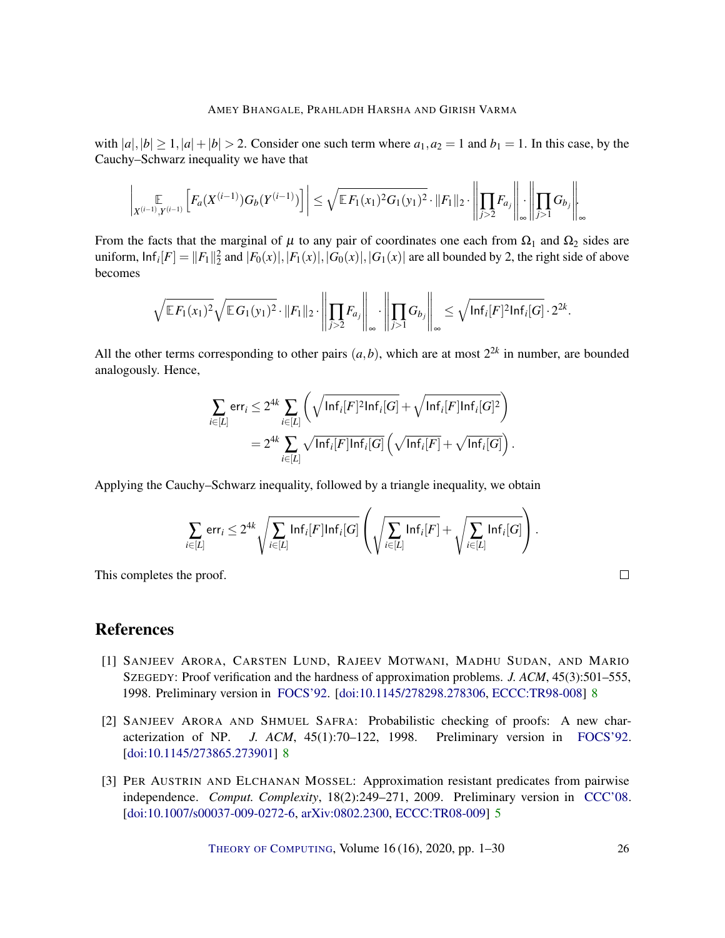with  $|a|, |b| \ge 1, |a| + |b| > 2$ . Consider one such term where  $a_1, a_2 = 1$  and  $b_1 = 1$ . In this case, by the Cauchy–Schwarz inequality we have that

$$
\left|\mathop{\mathbb{E}}_{X^{(i-1)},Y^{(i-1)}}\left[F_a(X^{(i-1)})G_b(Y^{(i-1)})\right]\right| \leq \sqrt{\mathbb{E}F_1(x_1)^2G_1(y_1)^2} \cdot \|F_1\|_2 \cdot \left\|\prod_{j>2} F_{a_j}\right\|_{\infty} \cdot \left\|\prod_{j>1} G_{b_j}\right\|_{\infty}
$$

From the facts that the marginal of  $\mu$  to any pair of coordinates one each from  $\Omega_1$  and  $\Omega_2$  sides are uniform,  $\text{Inf}_i[F] = ||F_1||_2^2$  and  $|F_0(x)|, |F_1(x)|, |G_0(x)|, |G_1(x)|$  are all bounded by 2, the right side of above becomes

$$
\sqrt{\mathbb{E} F_1(x_1)^2} \sqrt{\mathbb{E} G_1(y_1)^2} \cdot ||F_1||_2 \cdot \left\| \prod_{j>2} F_{a_j} \right\|_{\infty} \cdot \left\| \prod_{j>1} G_{b_j} \right\|_{\infty} \leq \sqrt{\ln f_i[F]^2 \ln f_i[G]} \cdot 2^{2k}.
$$

All the other terms corresponding to other pairs  $(a,b)$ , which are at most  $2^{2k}$  in number, are bounded analogously. Hence,

$$
\sum_{i\in[L]} \text{err}_i \leq 2^{4k} \sum_{i\in[L]} \left( \sqrt{\ln f_i[F]^2 \ln f_i[G]} + \sqrt{\ln f_i[F] \ln f_i[G]^2} \right)
$$
  
= 
$$
2^{4k} \sum_{i\in[L]} \sqrt{\ln f_i[F] \ln f_i[G]} \left( \sqrt{\ln f_i[F]} + \sqrt{\ln f_i[G]} \right).
$$

Applying the Cauchy–Schwarz inequality, followed by a triangle inequality, we obtain

$$
\sum_{i\in[L]}\textsf{err}_i\leq 2^{4k}\sqrt{\sum_{i\in[L]}\textsf{Inf}_i[F]\textsf{Inf}_i[G]}\left(\sqrt{\sum_{i\in[L]}\textsf{Inf}_i[F]}+\sqrt{\sum_{i\in[L]}\textsf{Inf}_i[G]}\right).
$$

This completes the proof.

# References

- <span id="page-25-2"></span>[1] SANJEEV ARORA, CARSTEN LUND, RAJEEV MOTWANI, MADHU SUDAN, AND MARIO SZEGEDY: Proof verification and the hardness of approximation problems. *J. ACM*, 45(3):501–555, 1998. Preliminary version in [FOCS'92.](http://doi.org/10.1109/SFCS.1992.267823) [\[doi:10.1145/278298.278306,](http://dx.doi.org/10.1145/278298.278306) [ECCC:TR98-008\]](https://eccc.weizmann.ac.il/report/1998/008) [8](#page-7-2)
- <span id="page-25-1"></span>[2] SANJEEV ARORA AND SHMUEL SAFRA: Probabilistic checking of proofs: A new characterization of NP. *J. ACM*, 45(1):70–122, 1998. Preliminary version in [FOCS'92.](http://doi.org/10.1109/SFCS.1992.267824) [\[doi:10.1145/273865.273901\]](http://dx.doi.org/10.1145/273865.273901) [8](#page-7-2)
- <span id="page-25-0"></span>[3] PER AUSTRIN AND ELCHANAN MOSSEL: Approximation resistant predicates from pairwise independence. *Comput. Complexity*, 18(2):249–271, 2009. Preliminary version in [CCC'08.](http://doi.org/10.1109/CCC.2008.20) [\[doi:10.1007/s00037-009-0272-6,](http://dx.doi.org/10.1007/s00037-009-0272-6) [arXiv:0802.2300,](http://arxiv.org/abs/0802.2300) [ECCC:TR08-009\]](https://eccc.weizmann.ac.il/report/2008/009) [5](#page-4-0)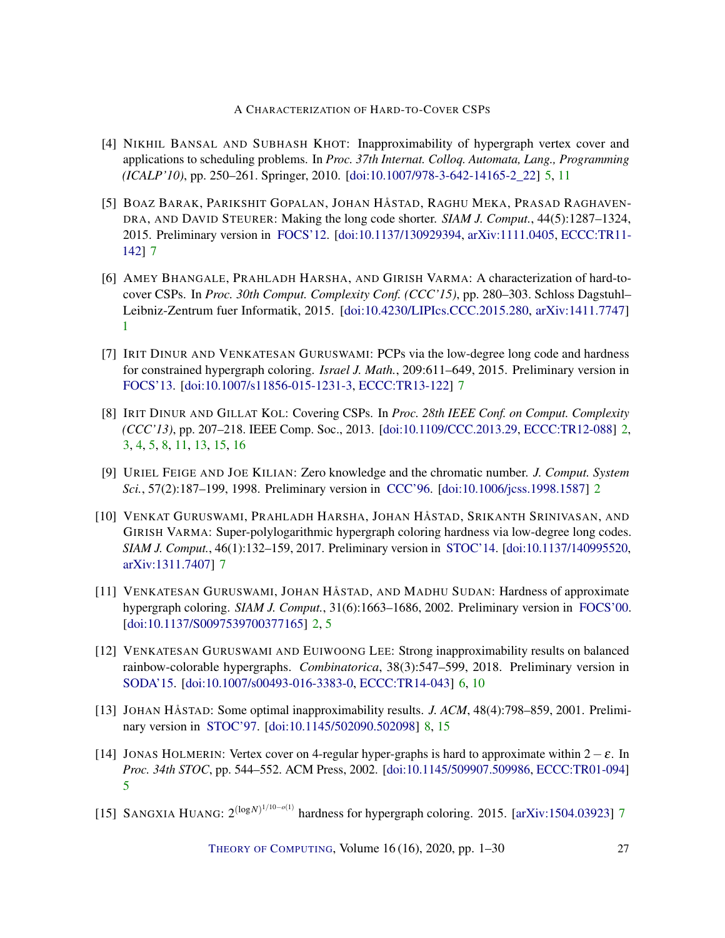- <span id="page-26-5"></span>[4] NIKHIL BANSAL AND SUBHASH KHOT: Inapproximability of hypergraph vertex cover and applications to scheduling problems. In *Proc. 37th Internat. Colloq. Automata, Lang., Programming (ICALP'10)*, pp. 250–261. Springer, 2010. [\[doi:10.1007/978-3-642-14165-2\\_22\]](http://dx.doi.org/10.1007/978-3-642-14165-2_22) [5,](#page-4-0) [11](#page-10-1)
- <span id="page-26-7"></span>[5] BOAZ BARAK, PARIKSHIT GOPALAN, JOHAN HÅSTAD, RAGHU MEKA, PRASAD RAGHAVEN-DRA, AND DAVID STEURER: Making the long code shorter. *SIAM J. Comput.*, 44(5):1287–1324, 2015. Preliminary version in [FOCS'12.](http://doi.org/10.1109/FOCS.2012.83) [\[doi:10.1137/130929394,](http://dx.doi.org/10.1137/130929394) [arXiv:1111.0405,](http://arxiv.org/abs/1111.0405) [ECCC:TR11-](https://eccc.weizmann.ac.il/report/2011/142) [142\]](https://eccc.weizmann.ac.il/report/2011/142) [7](#page-6-2)
- <span id="page-26-0"></span>[6] AMEY BHANGALE, PRAHLADH HARSHA, AND GIRISH VARMA: A characterization of hard-tocover CSPs. In *Proc. 30th Comput. Complexity Conf. (CCC'15)*, pp. 280–303. Schloss Dagstuhl– Leibniz-Zentrum fuer Informatik, 2015. [\[doi:10.4230/LIPIcs.CCC.2015.280,](http://dx.doi.org/10.4230/LIPIcs.CCC.2015.280) [arXiv:1411.7747\]](http://arxiv.org/abs/1411.7747) [1](#page-0-0)
- <span id="page-26-8"></span>[7] IRIT DINUR AND VENKATESAN GURUSWAMI: PCPs via the low-degree long code and hardness for constrained hypergraph coloring. *Israel J. Math.*, 209:611–649, 2015. Preliminary version in [FOCS'13.](http://doi.org/10.1109/FOCS.2013.44) [\[doi:10.1007/s11856-015-1231-3,](http://dx.doi.org/10.1007/s11856-015-1231-3) [ECCC:TR13-122\]](https://eccc.weizmann.ac.il/report/2013/122) [7](#page-6-2)
- <span id="page-26-3"></span>[8] IRIT DINUR AND GILLAT KOL: Covering CSPs. In *Proc. 28th IEEE Conf. on Comput. Complexity (CCC'13)*, pp. 207–218. IEEE Comp. Soc., 2013. [\[doi:10.1109/CCC.2013.29,](http://dx.doi.org/10.1109/CCC.2013.29) [ECCC:TR12-088\]](https://eccc.weizmann.ac.il/report/2012/088) [2,](#page-1-0) [3,](#page-2-2) [4,](#page-3-1) [5,](#page-4-0) [8,](#page-7-2) [11,](#page-10-1) [13,](#page-12-1) [15,](#page-14-4) [16](#page-15-2)
- <span id="page-26-1"></span>[9] URIEL FEIGE AND JOE KILIAN: Zero knowledge and the chromatic number. *J. Comput. System Sci.*, 57(2):187–199, 1998. Preliminary version in [CCC'96.](http://doi.org/10.1109/CCC.1996.507690) [\[doi:10.1006/jcss.1998.1587\]](http://dx.doi.org/10.1006/jcss.1998.1587) [2](#page-1-0)
- <span id="page-26-9"></span>[10] VENKAT GURUSWAMI, PRAHLADH HARSHA, JOHAN HÅSTAD, SRIKANTH SRINIVASAN, AND GIRISH VARMA: Super-polylogarithmic hypergraph coloring hardness via low-degree long codes. *SIAM J. Comput.*, 46(1):132–159, 2017. Preliminary version in [STOC'14.](http://doi.org/10.1145/2591796.2591882) [\[doi:10.1137/140995520,](http://dx.doi.org/10.1137/140995520) [arXiv:1311.7407\]](http://arxiv.org/abs/1311.7407) [7](#page-6-2)
- <span id="page-26-2"></span>[11] VENKATESAN GURUSWAMI, JOHAN HÅSTAD, AND MADHU SUDAN: Hardness of approximate hypergraph coloring. *SIAM J. Comput.*, 31(6):1663–1686, 2002. Preliminary version in [FOCS'00.](http://doi.org/10.1109/SFCS.2000.892074) [\[doi:10.1137/S0097539700377165\]](http://dx.doi.org/10.1137/S0097539700377165) [2,](#page-1-0) [5](#page-4-0)
- <span id="page-26-6"></span>[12] VENKATESAN GURUSWAMI AND EUIWOONG LEE: Strong inapproximability results on balanced rainbow-colorable hypergraphs. *Combinatorica*, 38(3):547–599, 2018. Preliminary version in [SODA'15.](http://doi.org/10.1137/1.9781611973730.56) [\[doi:10.1007/s00493-016-3383-0,](http://dx.doi.org/10.1007/s00493-016-3383-0) [ECCC:TR14-043\]](https://eccc.weizmann.ac.il/report/2014/043) [6,](#page-5-0) [10](#page-9-4)
- <span id="page-26-11"></span>[13] JOHAN HÅSTAD: Some optimal inapproximability results. *J. ACM*, 48(4):798–859, 2001. Preliminary version in [STOC'97.](http://doi.org/10.1145/258533.258536) [\[doi:10.1145/502090.502098\]](http://dx.doi.org/10.1145/502090.502098) [8,](#page-7-2) [15](#page-14-4)
- <span id="page-26-4"></span>[14] JONAS HOLMERIN: Vertex cover on 4-regular hyper-graphs is hard to approximate within  $2-\varepsilon$ . In *Proc. 34th STOC*, pp. 544–552. ACM Press, 2002. [\[doi:10.1145/509907.509986,](http://dx.doi.org/10.1145/509907.509986) [ECCC:TR01-094\]](https://eccc.weizmann.ac.il/report/2001/094) [5](#page-4-0)
- <span id="page-26-10"></span>[15] SANGXIA HUANG: 2<sup>(logN)1/10−*o*(1)</sup> hardness for hypergraph coloring. 2015. [\[arXiv:1504.03923\]](http://arxiv.org/abs/1504.03923) [7](#page-6-2)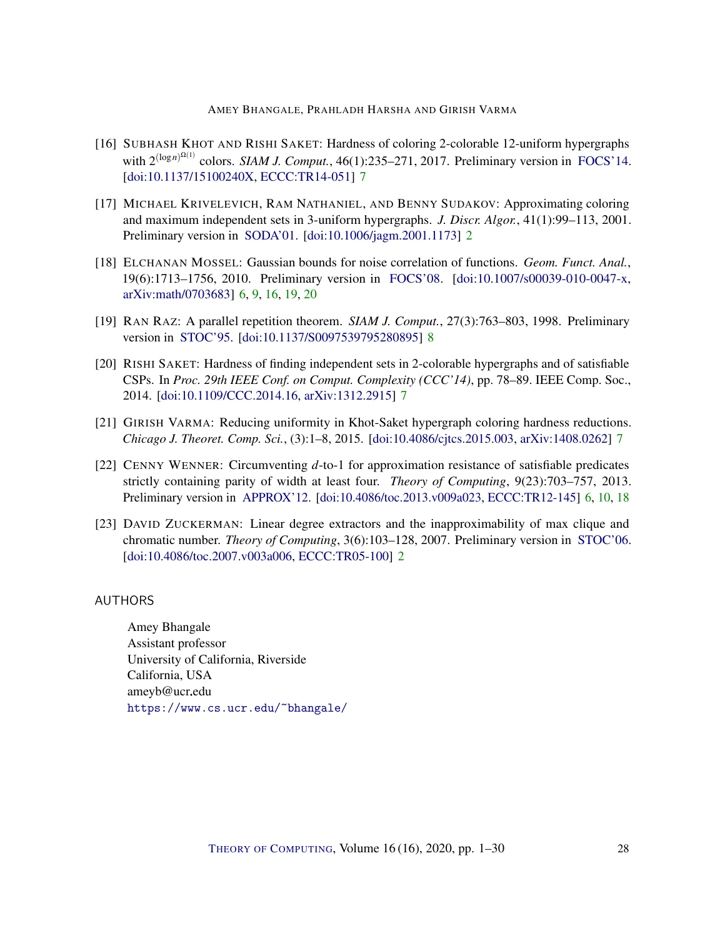- <span id="page-27-6"></span>[16] SUBHASH KHOT AND RISHI SAKET: Hardness of coloring 2-colorable 12-uniform hypergraphs with  $2^{(\log n)^{Q(1)}}$  colors. *SIAM J. Comput.*, 46(1):235–271, 2017. Preliminary version in [FOCS'14.](http://doi.org/10.1109/FOCS.2014.30) [\[doi:10.1137/15100240X,](http://dx.doi.org/10.1137/15100240X) [ECCC:TR14-051\]](https://eccc.weizmann.ac.il/report/2014/051) [7](#page-6-2)
- <span id="page-27-2"></span>[17] MICHAEL KRIVELEVICH, RAM NATHANIEL, AND BENNY SUDAKOV: Approximating coloring and maximum independent sets in 3-uniform hypergraphs. *J. Discr. Algor.*, 41(1):99–113, 2001. Preliminary version in [SODA'01.](https://dl.acm.org/doi/10.5555/365411.365469) [\[doi:10.1006/jagm.2001.1173\]](http://dx.doi.org/10.1006/jagm.2001.1173) [2](#page-1-0)
- <span id="page-27-4"></span>[18] ELCHANAN MOSSEL: Gaussian bounds for noise correlation of functions. *Geom. Funct. Anal.*, 19(6):1713–1756, 2010. Preliminary version in [FOCS'08.](http://doi.org/10.1109/FOCS.2008.44) [\[doi:10.1007/s00039-010-0047-x,](http://dx.doi.org/10.1007/s00039-010-0047-x) [arXiv:math/0703683\]](http://arxiv.org/abs/math/0703683) [6,](#page-5-0) [9,](#page-8-3) [16,](#page-15-2) [19,](#page-18-3) [20](#page-19-2)
- <span id="page-27-8"></span>[19] RAN RAZ: A parallel repetition theorem. *SIAM J. Comput.*, 27(3):763–803, 1998. Preliminary version in [STOC'95.](http://doi.org/10.1145/225058.225181) [\[doi:10.1137/S0097539795280895\]](http://dx.doi.org/10.1137/S0097539795280895) [8](#page-7-2)
- <span id="page-27-5"></span>[20] RISHI SAKET: Hardness of finding independent sets in 2-colorable hypergraphs and of satisfiable CSPs. In *Proc. 29th IEEE Conf. on Comput. Complexity (CCC'14)*, pp. 78–89. IEEE Comp. Soc., 2014. [\[doi:10.1109/CCC.2014.16,](http://dx.doi.org/10.1109/CCC.2014.16) [arXiv:1312.2915\]](http://arxiv.org/abs/1312.2915) [7](#page-6-2)
- <span id="page-27-7"></span>[21] GIRISH VARMA: Reducing uniformity in Khot-Saket hypergraph coloring hardness reductions. *Chicago J. Theoret. Comp. Sci.*, (3):1–8, 2015. [\[doi:10.4086/cjtcs.2015.003,](http://dx.doi.org/10.4086/cjtcs.2015.003) [arXiv:1408.0262\]](http://arxiv.org/abs/1408.0262) [7](#page-6-2)
- <span id="page-27-3"></span>[22] CENNY WENNER: Circumventing *d*-to-1 for approximation resistance of satisfiable predicates strictly containing parity of width at least four. *Theory of Computing*, 9(23):703–757, 2013. Preliminary version in [APPROX'12.](http://doi.org/10.1007/978-3-642-32512-0_28) [\[doi:10.4086/toc.2013.v009a023,](http://dx.doi.org/10.4086/toc.2013.v009a023) [ECCC:TR12-145\]](https://eccc.weizmann.ac.il/report/2012/145) [6,](#page-5-0) [10,](#page-9-4) [18](#page-17-3)
- <span id="page-27-1"></span>[23] DAVID ZUCKERMAN: Linear degree extractors and the inapproximability of max clique and chromatic number. *Theory of Computing*, 3(6):103–128, 2007. Preliminary version in [STOC'06.](http://doi.org/10.1145/1132516.1132612) [\[doi:10.4086/toc.2007.v003a006,](http://dx.doi.org/10.4086/toc.2007.v003a006) [ECCC:TR05-100\]](https://eccc.weizmann.ac.il/report/2005/100) [2](#page-1-0)

### <span id="page-27-0"></span>AUTHORS

Amey Bhangale Assistant professor University of California, Riverside California, USA ameyb@ucr.edu <https://www.cs.ucr.edu/~bhangale/>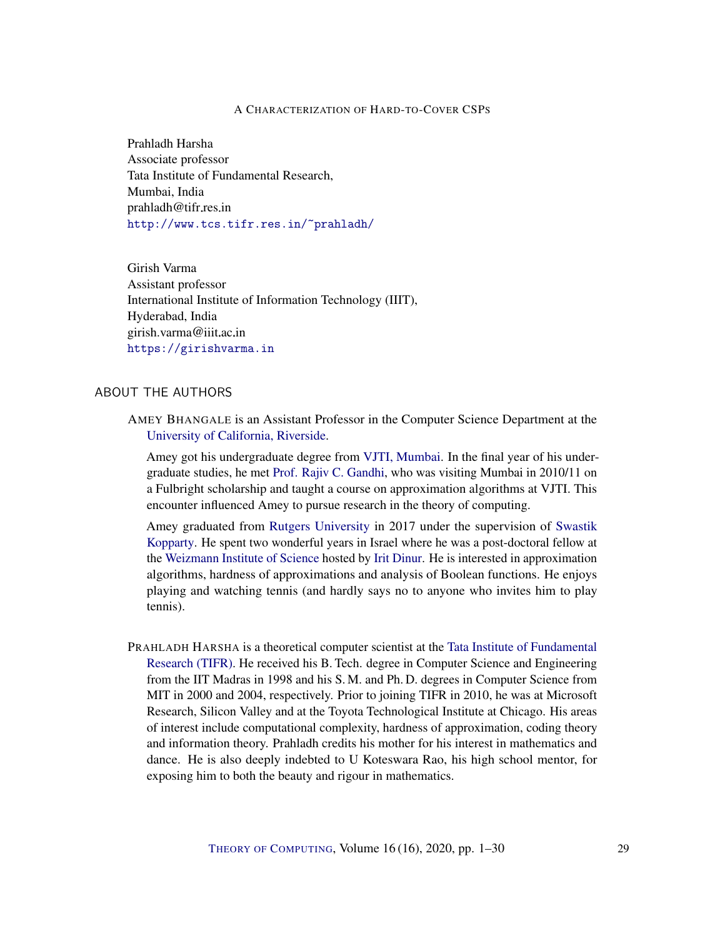<span id="page-28-0"></span>Prahladh Harsha Associate professor Tata Institute of Fundamental Research, Mumbai, India prahladh@tifr.res.in <http://www.tcs.tifr.res.in/~prahladh/>

<span id="page-28-1"></span>Girish Varma Assistant professor International Institute of Information Technology (IIIT), Hyderabad, India girish.varma@iiit.ac.in <https://girishvarma.in>

### ABOUT THE AUTHORS

AMEY BHANGALE is an Assistant Professor in the Computer Science Department at the [University of California, Riverside.](https://www1.cs.ucr.edu/)

Amey got his undergraduate degree from [VJTI, Mumbai.](http://vjti.ac.in/) In the final year of his undergraduate studies, he met [Prof. Rajiv C. Gandhi,](https://crab.rutgers.edu/~rajivg/) who was visiting Mumbai in 2010/11 on a Fulbright scholarship and taught a course on approximation algorithms at VJTI. This encounter influenced Amey to pursue research in the theory of computing.

Amey graduated from [Rutgers University](https://www.cs.rutgers.edu) in 2017 under the supervision of [Swastik](http://sites.math.rutgers.edu/~sk1233/) [Kopparty.](http://sites.math.rutgers.edu/~sk1233/) He spent two wonderful years in Israel where he was a post-doctoral fellow at the [Weizmann Institute of Science](http://www.weizmann.ac.il/math/) hosted by [Irit Dinur.](#page-0-1) He is interested in approximation algorithms, hardness of approximations and analysis of Boolean functions. He enjoys playing and watching tennis (and hardly says no to anyone who invites him to play tennis).

PRAHLADH HARSHA is a theoretical computer scientist at the [Tata Institute of Fundamental](http://www.tifr.res.in/) [Research \(TIFR\).](http://www.tifr.res.in/) He received his B. Tech. degree in Computer Science and Engineering from the IIT Madras in 1998 and his S. M. and Ph. D. degrees in Computer Science from MIT in 2000 and 2004, respectively. Prior to joining TIFR in 2010, he was at Microsoft Research, Silicon Valley and at the Toyota Technological Institute at Chicago. His areas of interest include computational complexity, hardness of approximation, coding theory and information theory. Prahladh credits his mother for his interest in mathematics and dance. He is also deeply indebted to U Koteswara Rao, his high school mentor, for exposing him to both the beauty and rigour in mathematics.